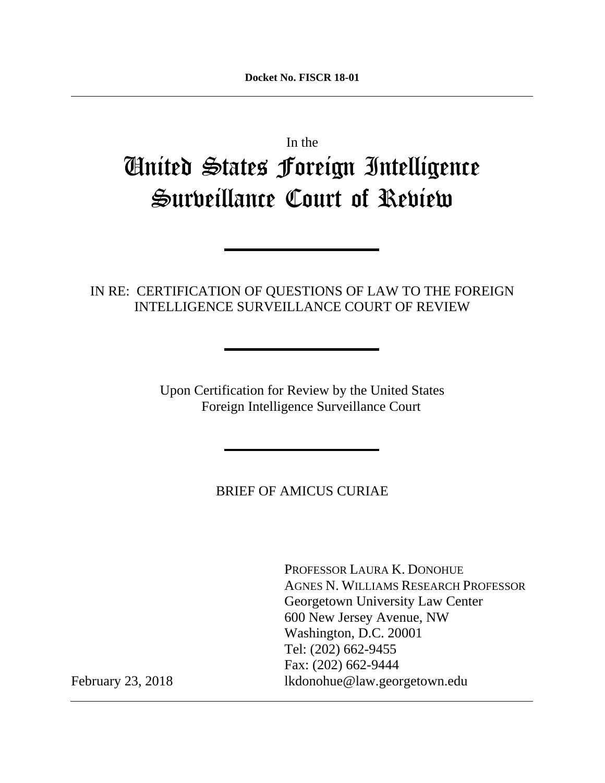In the

# United States Foreign Intelligence Surveillance Court of Review

# IN RE: CERTIFICATION OF QUESTIONS OF LAW TO THE FOREIGN INTELLIGENCE SURVEILLANCE COURT OF REVIEW

Upon Certification for Review by the United States Foreign Intelligence Surveillance Court

BRIEF OF AMICUS CURIAE

 PROFESSOR LAURA K. DONOHUE AGNES N. WILLIAMS RESEARCH PROFESSOR Georgetown University Law Center 600 New Jersey Avenue, NW Washington, D.C. 20001 Tel: (202) 662-9455 Fax: (202) 662-9444 February 23, 2018 [lkdonohue@law.georgetown.edu](mailto:lkdonohue@law.georgetown.edu)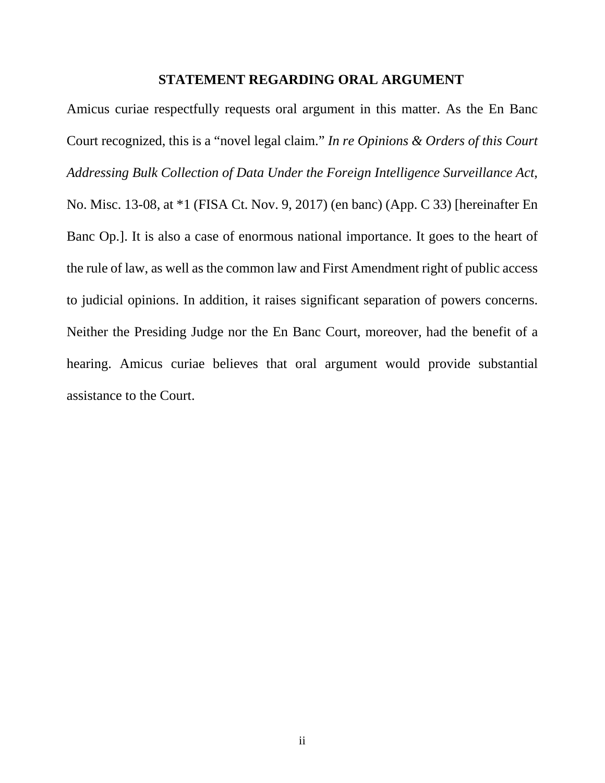#### **STATEMENT REGARDING ORAL ARGUMENT**

Amicus curiae respectfully requests oral argument in this matter. As the En Banc Court recognized, this is a "novel legal claim." *In re Opinions & Orders of this Court Addressing Bulk Collection of Data Under the Foreign Intelligence Surveillance Act*, No. Misc. 13-08, at \*1 (FISA Ct. Nov. 9, 2017) (en banc) (App. C 33) [hereinafter En Banc Op.]. It is also a case of enormous national importance. It goes to the heart of the rule of law, as well as the common law and First Amendment right of public access to judicial opinions. In addition, it raises significant separation of powers concerns. Neither the Presiding Judge nor the En Banc Court, moreover, had the benefit of a hearing. Amicus curiae believes that oral argument would provide substantial assistance to the Court.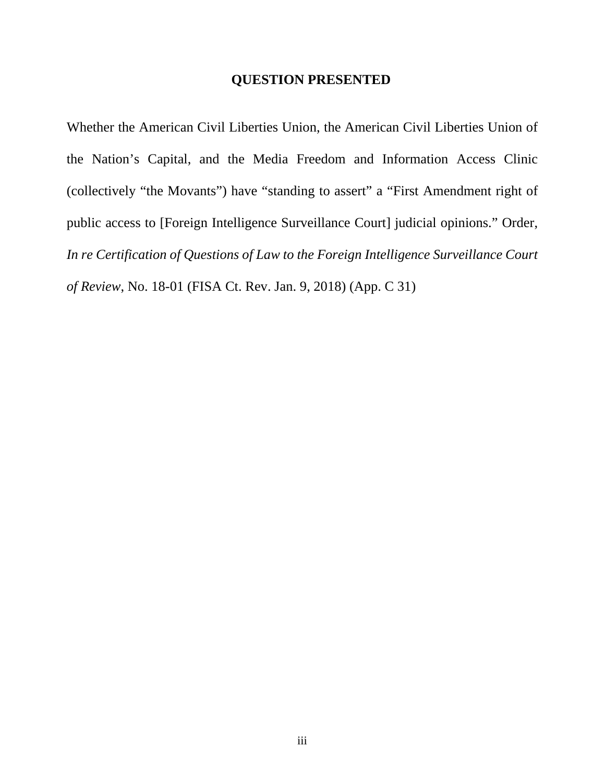#### **QUESTION PRESENTED**

Whether the American Civil Liberties Union, the American Civil Liberties Union of the Nation's Capital, and the Media Freedom and Information Access Clinic (collectively "the Movants") have "standing to assert" a "First Amendment right of public access to [Foreign Intelligence Surveillance Court] judicial opinions." Order, *In re Certification of Questions of Law to the Foreign Intelligence Surveillance Court of Review*, No. 18-01 (FISA Ct. Rev. Jan. 9, 2018) (App. C 31)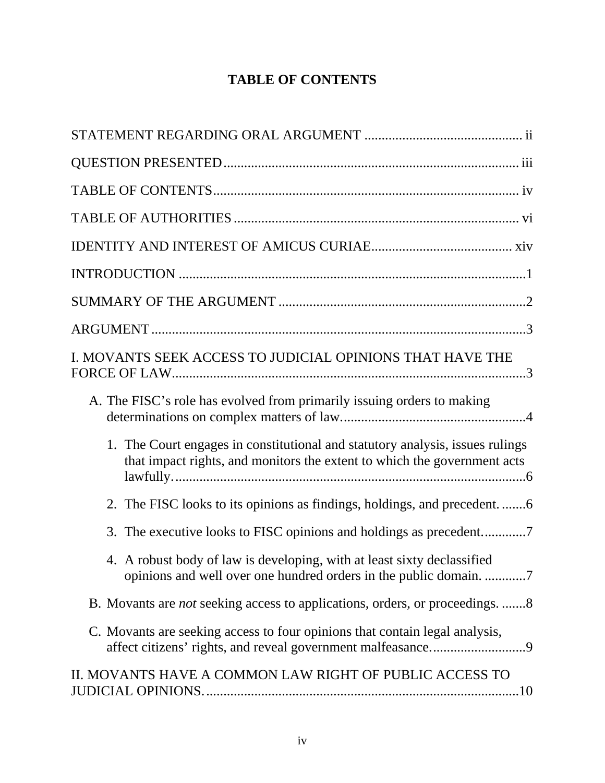# **TABLE OF CONTENTS**

| I. MOVANTS SEEK ACCESS TO JUDICIAL OPINIONS THAT HAVE THE                                                                                                 |
|-----------------------------------------------------------------------------------------------------------------------------------------------------------|
| A. The FISC's role has evolved from primarily issuing orders to making                                                                                    |
| 1. The Court engages in constitutional and statutory analysis, issues rulings<br>that impact rights, and monitors the extent to which the government acts |
| 2. The FISC looks to its opinions as findings, holdings, and precedent                                                                                    |
| 3. The executive looks to FISC opinions and holdings as precedent7                                                                                        |
| 4. A robust body of law is developing, with at least sixty declassified                                                                                   |
| B. Movants are <i>not</i> seeking access to applications, orders, or proceedings. 8                                                                       |
| C. Movants are seeking access to four opinions that contain legal analysis,                                                                               |
| II. MOVANTS HAVE A COMMON LAW RIGHT OF PUBLIC ACCESS TO                                                                                                   |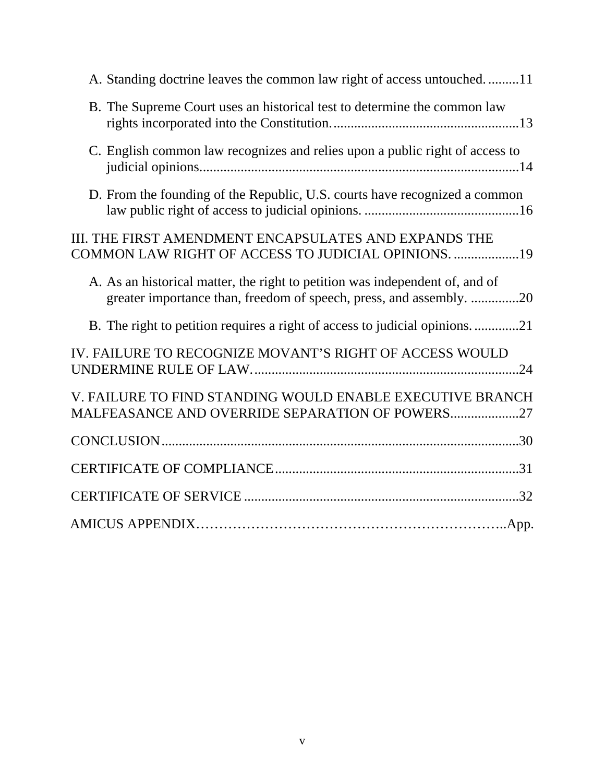| A. Standing doctrine leaves the common law right of access untouched11                                                                              |
|-----------------------------------------------------------------------------------------------------------------------------------------------------|
| B. The Supreme Court uses an historical test to determine the common law                                                                            |
| C. English common law recognizes and relies upon a public right of access to                                                                        |
| D. From the founding of the Republic, U.S. courts have recognized a common                                                                          |
| III. THE FIRST AMENDMENT ENCAPSULATES AND EXPANDS THE<br>COMMON LAW RIGHT OF ACCESS TO JUDICIAL OPINIONS. 19                                        |
| A. As an historical matter, the right to petition was independent of, and of<br>greater importance than, freedom of speech, press, and assembly. 20 |
| B. The right to petition requires a right of access to judicial opinions21                                                                          |
| IV. FAILURE TO RECOGNIZE MOVANT'S RIGHT OF ACCESS WOULD                                                                                             |
| V. FAILURE TO FIND STANDING WOULD ENABLE EXECUTIVE BRANCH<br>MALFEASANCE AND OVERRIDE SEPARATION OF POWERS27                                        |
|                                                                                                                                                     |
|                                                                                                                                                     |
|                                                                                                                                                     |
|                                                                                                                                                     |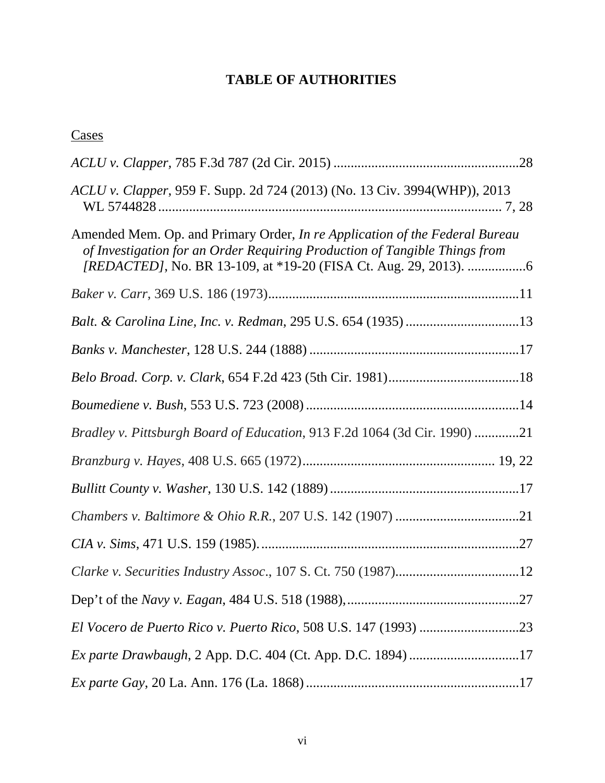# **TABLE OF AUTHORITIES**

# **Cases**

| ACLU v. Clapper, 959 F. Supp. 2d 724 (2013) (No. 13 Civ. 3994(WHP)), 2013                                                                                        |
|------------------------------------------------------------------------------------------------------------------------------------------------------------------|
| Amended Mem. Op. and Primary Order, <i>In re Application of the Federal Bureau</i><br>of Investigation for an Order Requiring Production of Tangible Things from |
|                                                                                                                                                                  |
| Balt. & Carolina Line, Inc. v. Redman, 295 U.S. 654 (1935) 13                                                                                                    |
|                                                                                                                                                                  |
|                                                                                                                                                                  |
|                                                                                                                                                                  |
| Bradley v. Pittsburgh Board of Education, 913 F.2d 1064 (3d Cir. 1990) 21                                                                                        |
|                                                                                                                                                                  |
|                                                                                                                                                                  |
|                                                                                                                                                                  |
|                                                                                                                                                                  |
|                                                                                                                                                                  |
|                                                                                                                                                                  |
|                                                                                                                                                                  |
|                                                                                                                                                                  |
|                                                                                                                                                                  |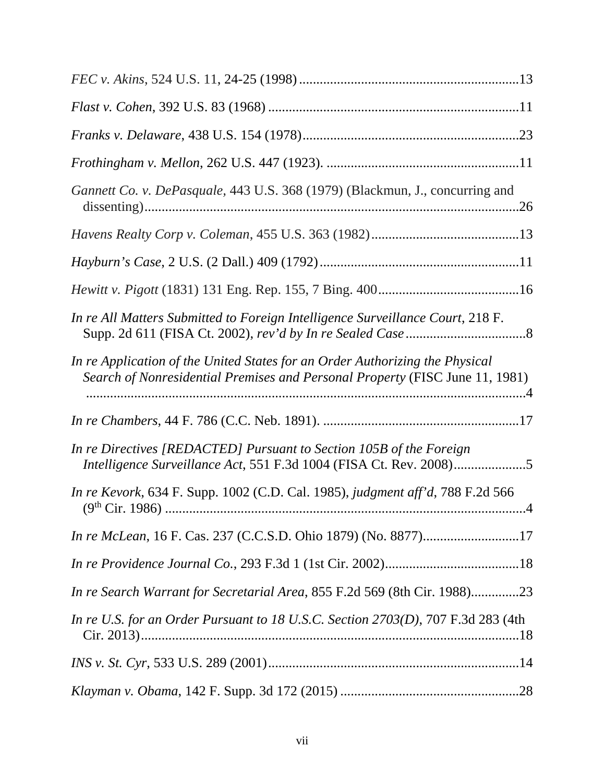| Gannett Co. v. DePasquale, 443 U.S. 368 (1979) (Blackmun, J., concurring and                                                                                 |  |
|--------------------------------------------------------------------------------------------------------------------------------------------------------------|--|
|                                                                                                                                                              |  |
|                                                                                                                                                              |  |
|                                                                                                                                                              |  |
| In re All Matters Submitted to Foreign Intelligence Surveillance Court, 218 F.                                                                               |  |
| In re Application of the United States for an Order Authorizing the Physical<br>Search of Nonresidential Premises and Personal Property (FISC June 11, 1981) |  |
|                                                                                                                                                              |  |
| In re Directives [REDACTED] Pursuant to Section 105B of the Foreign<br>Intelligence Surveillance Act, 551 F.3d 1004 (FISA Ct. Rev. 2008)5                    |  |
| In re Kevork, 634 F. Supp. 1002 (C.D. Cal. 1985), judgment aff'd, 788 F.2d 566                                                                               |  |
| In re McLean, 16 F. Cas. 237 (C.C.S.D. Ohio 1879) (No. 8877)17                                                                                               |  |
|                                                                                                                                                              |  |
| In re Search Warrant for Secretarial Area, 855 F.2d 569 (8th Cir. 1988)23                                                                                    |  |
| In re U.S. for an Order Pursuant to 18 U.S.C. Section 2703(D), 707 F.3d 283 (4th                                                                             |  |
|                                                                                                                                                              |  |
|                                                                                                                                                              |  |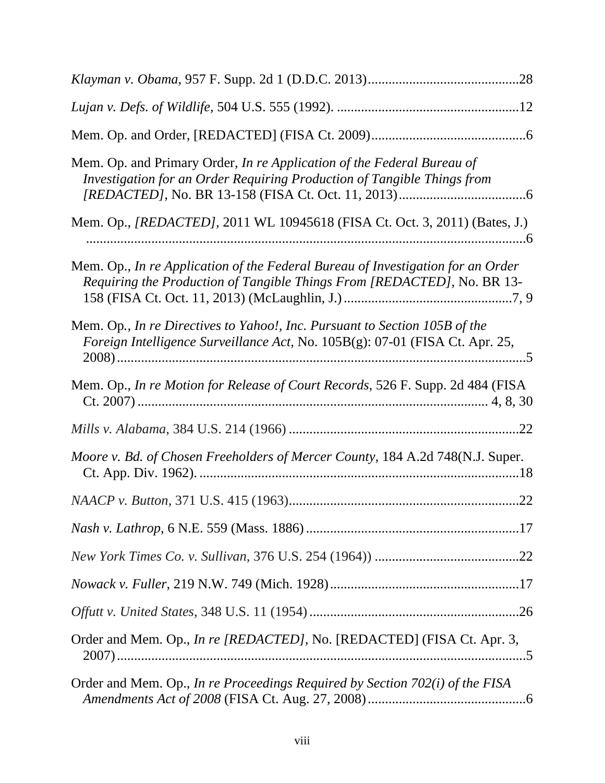| Mem. Op. and Primary Order, In re Application of the Federal Bureau of<br>Investigation for an Order Requiring Production of Tangible Things from          |
|------------------------------------------------------------------------------------------------------------------------------------------------------------|
| Mem. Op., <i>[REDACTED]</i> , 2011 WL 10945618 (FISA Ct. Oct. 3, 2011) (Bates, J.)                                                                         |
| Mem. Op., In re Application of the Federal Bureau of Investigation for an Order<br>Requiring the Production of Tangible Things From [REDACTED], No. BR 13- |
| Mem. Op., In re Directives to Yahoo!, Inc. Pursuant to Section 105B of the<br>Foreign Intelligence Surveillance Act, No. 105B(g): 07-01 (FISA Ct. Apr. 25, |
| Mem. Op., In re Motion for Release of Court Records, 526 F. Supp. 2d 484 (FISA                                                                             |
|                                                                                                                                                            |
| Moore v. Bd. of Chosen Freeholders of Mercer County, 184 A.2d 748(N.J. Super.                                                                              |
|                                                                                                                                                            |
|                                                                                                                                                            |
|                                                                                                                                                            |
|                                                                                                                                                            |
|                                                                                                                                                            |
| Order and Mem. Op., In re [REDACTED], No. [REDACTED] (FISA Ct. Apr. 3,                                                                                     |
| Order and Mem. Op., In re Proceedings Required by Section 702(i) of the FISA                                                                               |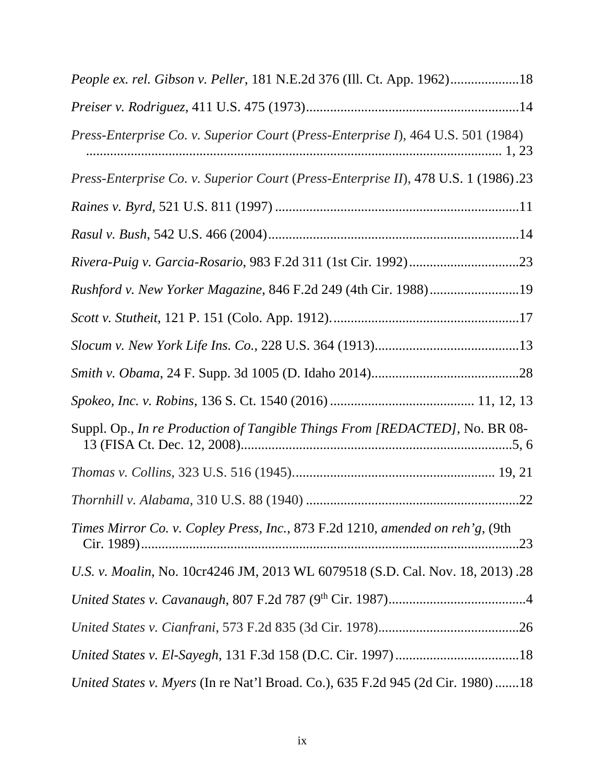| People ex. rel. Gibson v. Peller, 181 N.E.2d 376 (Ill. Ct. App. 1962)18                 |  |
|-----------------------------------------------------------------------------------------|--|
|                                                                                         |  |
| <i>Press-Enterprise Co. v. Superior Court (Press-Enterprise I), 464 U.S. 501 (1984)</i> |  |
| Press-Enterprise Co. v. Superior Court (Press-Enterprise II), 478 U.S. 1 (1986).23      |  |
|                                                                                         |  |
|                                                                                         |  |
|                                                                                         |  |
| Rushford v. New Yorker Magazine, 846 F.2d 249 (4th Cir. 1988)19                         |  |
|                                                                                         |  |
|                                                                                         |  |
|                                                                                         |  |
|                                                                                         |  |
| Suppl. Op., In re Production of Tangible Things From [REDACTED], No. BR 08-             |  |
|                                                                                         |  |
|                                                                                         |  |
| Times Mirror Co. v. Copley Press, Inc., 873 F.2d 1210, amended on reh'g, (9th           |  |
| U.S. v. Moalin, No. 10cr4246 JM, 2013 WL 6079518 (S.D. Cal. Nov. 18, 2013) .28          |  |
|                                                                                         |  |
|                                                                                         |  |
|                                                                                         |  |
| United States v. Myers (In re Nat'l Broad. Co.), 635 F.2d 945 (2d Cir. 1980)18          |  |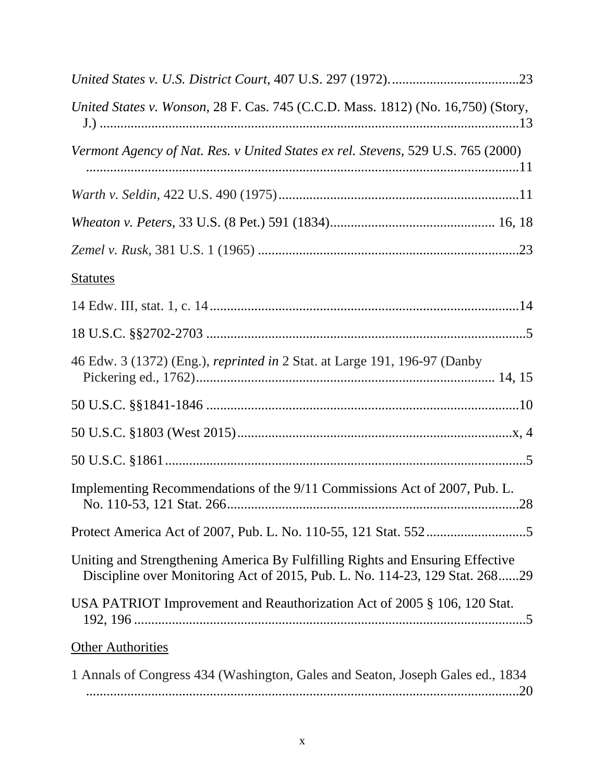| United States v. Wonson, 28 F. Cas. 745 (C.C.D. Mass. 1812) (No. 16,750) (Story,                                                                             |
|--------------------------------------------------------------------------------------------------------------------------------------------------------------|
| Vermont Agency of Nat. Res. v United States ex rel. Stevens, 529 U.S. 765 (2000)                                                                             |
|                                                                                                                                                              |
|                                                                                                                                                              |
|                                                                                                                                                              |
| <b>Statutes</b>                                                                                                                                              |
|                                                                                                                                                              |
|                                                                                                                                                              |
| 46 Edw. 3 (1372) (Eng.), <i>reprinted in</i> 2 Stat. at Large 191, 196-97 (Danby                                                                             |
|                                                                                                                                                              |
|                                                                                                                                                              |
|                                                                                                                                                              |
| Implementing Recommendations of the 9/11 Commissions Act of 2007, Pub. L.                                                                                    |
|                                                                                                                                                              |
| Uniting and Strengthening America By Fulfilling Rights and Ensuring Effective<br>Discipline over Monitoring Act of 2015, Pub. L. No. 114-23, 129 Stat. 26829 |
| USA PATRIOT Improvement and Reauthorization Act of 2005 § 106, 120 Stat.                                                                                     |
| <b>Other Authorities</b>                                                                                                                                     |
| 1 Annals of Congress 434 (Washington, Gales and Seaton, Joseph Gales ed., 1834)                                                                              |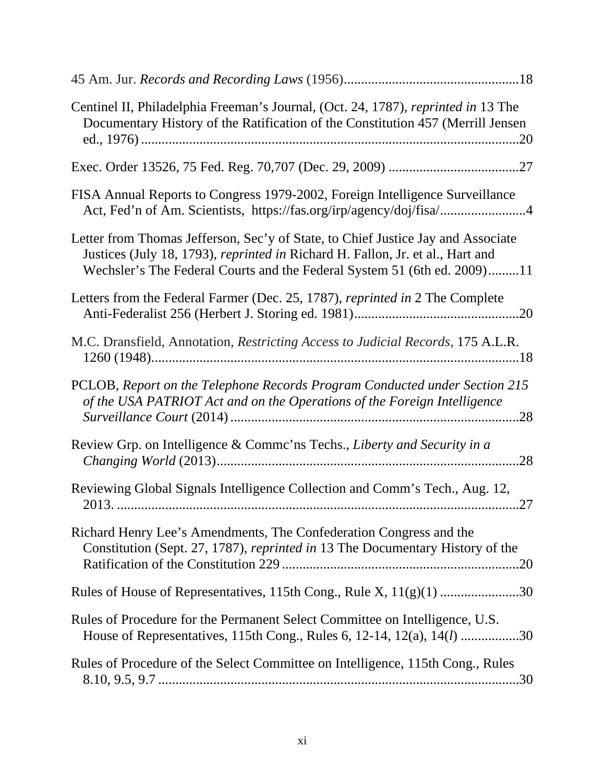| Centinel II, Philadelphia Freeman's Journal, (Oct. 24, 1787), reprinted in 13 The<br>Documentary History of the Ratification of the Constitution 457 (Merrill Jensen                                                                           |
|------------------------------------------------------------------------------------------------------------------------------------------------------------------------------------------------------------------------------------------------|
|                                                                                                                                                                                                                                                |
| FISA Annual Reports to Congress 1979-2002, Foreign Intelligence Surveillance<br>Act, Fed'n of Am. Scientists, https://fas.org/irp/agency/doj/fisa/4                                                                                            |
| Letter from Thomas Jefferson, Sec'y of State, to Chief Justice Jay and Associate<br>Justices (July 18, 1793), reprinted in Richard H. Fallon, Jr. et al., Hart and<br>Wechsler's The Federal Courts and the Federal System 51 (6th ed. 2009)11 |
| Letters from the Federal Farmer (Dec. 25, 1787), reprinted in 2 The Complete                                                                                                                                                                   |
| M.C. Dransfield, Annotation, Restricting Access to Judicial Records, 175 A.L.R.                                                                                                                                                                |
| PCLOB, Report on the Telephone Records Program Conducted under Section 215<br>of the USA PATRIOT Act and on the Operations of the Foreign Intelligence                                                                                         |
| Review Grp. on Intelligence & Commc'ns Techs., Liberty and Security in a<br>.28                                                                                                                                                                |
| Reviewing Global Signals Intelligence Collection and Comm's Tech., Aug. 12,                                                                                                                                                                    |
| Richard Henry Lee's Amendments, The Confederation Congress and the<br>Constitution (Sept. 27, 1787), reprinted in 13 The Documentary History of the                                                                                            |
| Rules of House of Representatives, 115th Cong., Rule X, $11(g)(1)$ 30                                                                                                                                                                          |
| Rules of Procedure for the Permanent Select Committee on Intelligence, U.S.<br>House of Representatives, 115th Cong., Rules 6, 12-14, 12(a), 14( <i>l</i> ) 30                                                                                 |
| Rules of Procedure of the Select Committee on Intelligence, 115th Cong., Rules                                                                                                                                                                 |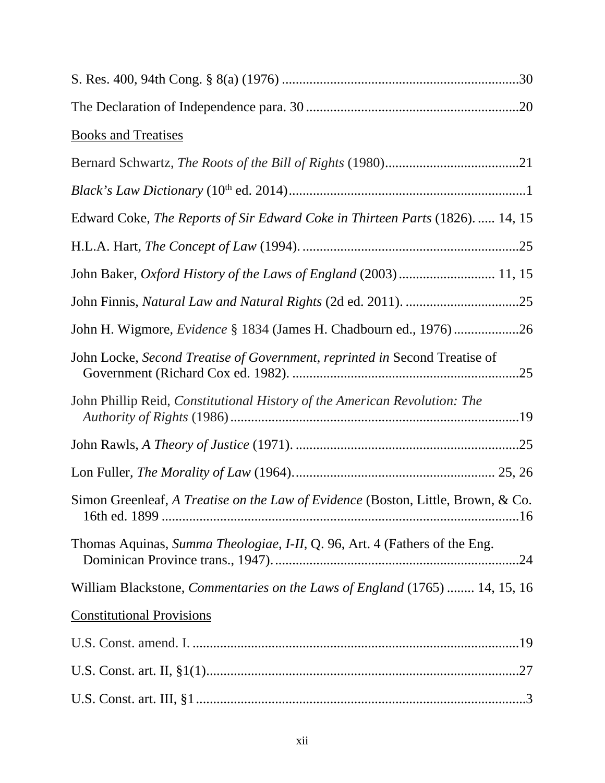| <b>Books and Treatises</b>                                                       |  |
|----------------------------------------------------------------------------------|--|
|                                                                                  |  |
|                                                                                  |  |
| Edward Coke, The Reports of Sir Edward Coke in Thirteen Parts (1826).  14, 15    |  |
|                                                                                  |  |
| John Baker, Oxford History of the Laws of England (2003)  11, 15                 |  |
|                                                                                  |  |
| John H. Wigmore, Evidence § 1834 (James H. Chadbourn ed., 1976)26                |  |
| John Locke, Second Treatise of Government, reprinted in Second Treatise of       |  |
| John Phillip Reid, Constitutional History of the American Revolution: The        |  |
|                                                                                  |  |
|                                                                                  |  |
| Simon Greenleaf, A Treatise on the Law of Evidence (Boston, Little, Brown, & Co. |  |
| Thomas Aquinas, Summa Theologiae, I-II, Q. 96, Art. 4 (Fathers of the Eng.       |  |
| William Blackstone, Commentaries on the Laws of England (1765)  14, 15, 16       |  |
| <b>Constitutional Provisions</b>                                                 |  |
|                                                                                  |  |
|                                                                                  |  |
|                                                                                  |  |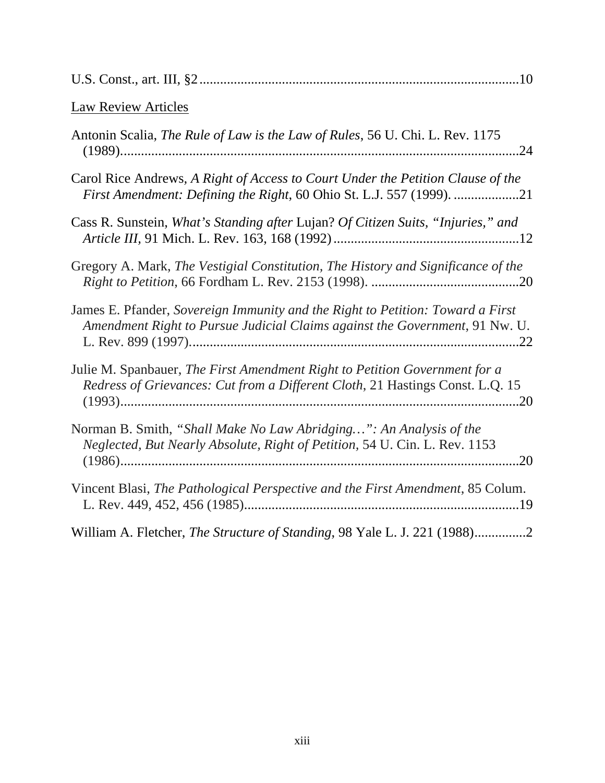| <b>Law Review Articles</b>                                                                                                                                    |
|---------------------------------------------------------------------------------------------------------------------------------------------------------------|
| Antonin Scalia, The Rule of Law is the Law of Rules, 56 U. Chi. L. Rev. 1175                                                                                  |
| Carol Rice Andrews, A Right of Access to Court Under the Petition Clause of the<br>First Amendment: Defining the Right, 60 Ohio St. L.J. 557 (1999). 21       |
| Cass R. Sunstein, What's Standing after Lujan? Of Citizen Suits, "Injuries," and                                                                              |
| Gregory A. Mark, The Vestigial Constitution, The History and Significance of the                                                                              |
| James E. Pfander, Sovereign Immunity and the Right to Petition: Toward a First<br>Amendment Right to Pursue Judicial Claims against the Government, 91 Nw. U. |
| Julie M. Spanbauer, The First Amendment Right to Petition Government for a<br>Redress of Grievances: Cut from a Different Cloth, 21 Hastings Const. L.Q. 15   |
| Norman B. Smith, "Shall Make No Law Abridging": An Analysis of the<br>Neglected, But Nearly Absolute, Right of Petition, 54 U. Cin. L. Rev. 1153<br>.20       |
| Vincent Blasi, The Pathological Perspective and the First Amendment, 85 Colum.                                                                                |
| William A. Fletcher, <i>The Structure of Standing</i> , 98 Yale L. J. 221 (1988)2                                                                             |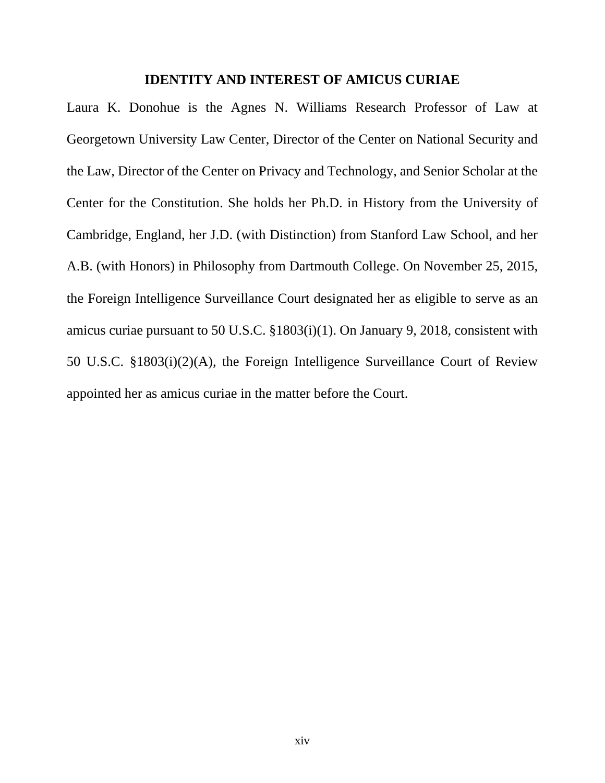#### **IDENTITY AND INTEREST OF AMICUS CURIAE**

Laura K. Donohue is the Agnes N. Williams Research Professor of Law at Georgetown University Law Center, Director of the Center on National Security and the Law, Director of the Center on Privacy and Technology, and Senior Scholar at the Center for the Constitution. She holds her Ph.D. in History from the University of Cambridge, England, her J.D. (with Distinction) from Stanford Law School, and her A.B. (with Honors) in Philosophy from Dartmouth College. On November 25, 2015, the Foreign Intelligence Surveillance Court designated her as eligible to serve as an amicus curiae pursuant to 50 U.S.C. §1803(i)(1). On January 9, 2018, consistent with 50 U.S.C. §1803(i)(2)(A), the Foreign Intelligence Surveillance Court of Review appointed her as amicus curiae in the matter before the Court.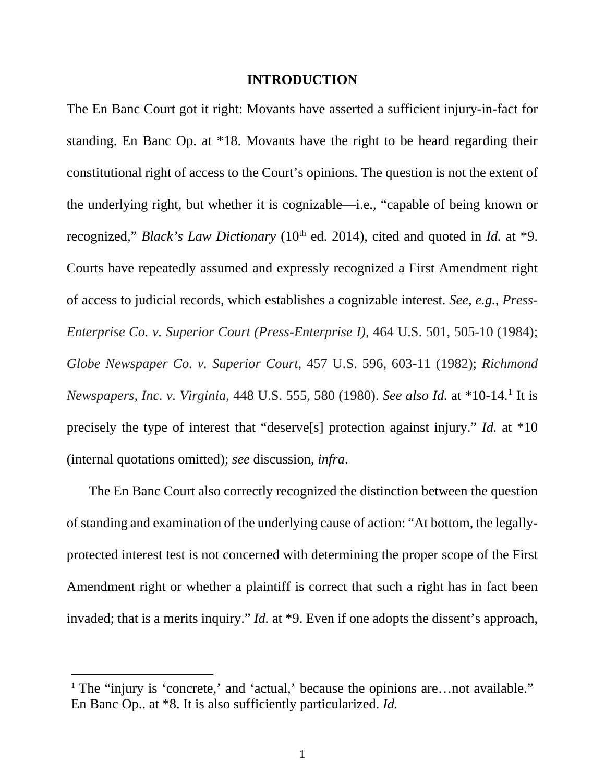#### **INTRODUCTION**

The En Banc Court got it right: Movants have asserted a sufficient injury-in-fact for standing. En Banc Op. at \*18. Movants have the right to be heard regarding their constitutional right of access to the Court's opinions. The question is not the extent of the underlying right, but whether it is cognizable—i.e., "capable of being known or recognized," *Black's Law Dictionary* (10<sup>th</sup> ed. 2014), cited and quoted in *Id.* at \*9. Courts have repeatedly assumed and expressly recognized a First Amendment right of access to judicial records, which establishes a cognizable interest. *See, e.g.*, *Press-Enterprise Co. v. Superior Court (Press-Enterprise I),* 464 U.S. 501, 505-10 (1984); *Globe Newspaper Co. v. Superior Court*, 457 U.S. 596, 603-11 (1982); *Richmond Newspapers, Inc. v. Virginia*, 448 U.S. 555, 580 (1980). *See also Id.* at \*10-14[.1](#page-14-0) It is precisely the type of interest that "deserve[s] protection against injury." *Id.* at \*10 (internal quotations omitted); *see* discussion, *infra*.

The En Banc Court also correctly recognized the distinction between the question of standing and examination of the underlying cause of action: "At bottom, the legallyprotected interest test is not concerned with determining the proper scope of the First Amendment right or whether a plaintiff is correct that such a right has in fact been invaded; that is a merits inquiry." *Id.* at \*9. Even if one adopts the dissent's approach,

<span id="page-14-0"></span><sup>&</sup>lt;sup>1</sup> The "injury is 'concrete,' and 'actual,' because the opinions are...not available." En Banc Op.. at \*8. It is also sufficiently particularized. *Id.*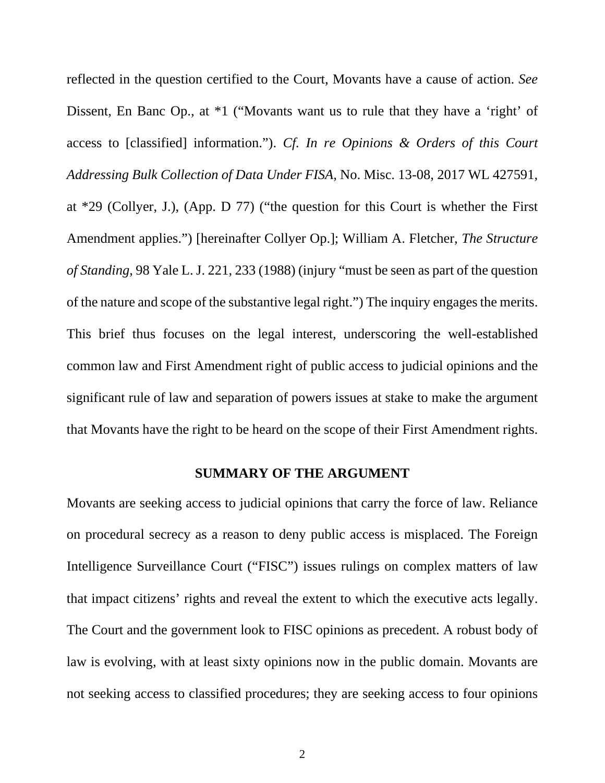reflected in the question certified to the Court, Movants have a cause of action. *See* Dissent, En Banc Op., at  $*1$  ("Movants want us to rule that they have a 'right' of access to [classified] information."). *Cf. In re Opinions & Orders of this Court Addressing Bulk Collection of Data Under FISA*, No. Misc. 13-08, 2017 WL 427591, at \*29 (Collyer, J.), (App. D 77) ("the question for this Court is whether the First Amendment applies.") [hereinafter Collyer Op.]; William A. Fletcher, *The Structure of Standing*, 98 Yale L. J. 221, 233 (1988) (injury "must be seen as part of the question of the nature and scope of the substantive legal right.") The inquiry engages the merits. This brief thus focuses on the legal interest, underscoring the well-established common law and First Amendment right of public access to judicial opinions and the significant rule of law and separation of powers issues at stake to make the argument that Movants have the right to be heard on the scope of their First Amendment rights.

#### **SUMMARY OF THE ARGUMENT**

Movants are seeking access to judicial opinions that carry the force of law. Reliance on procedural secrecy as a reason to deny public access is misplaced. The Foreign Intelligence Surveillance Court ("FISC") issues rulings on complex matters of law that impact citizens' rights and reveal the extent to which the executive acts legally. The Court and the government look to FISC opinions as precedent. A robust body of law is evolving, with at least sixty opinions now in the public domain. Movants are not seeking access to classified procedures; they are seeking access to four opinions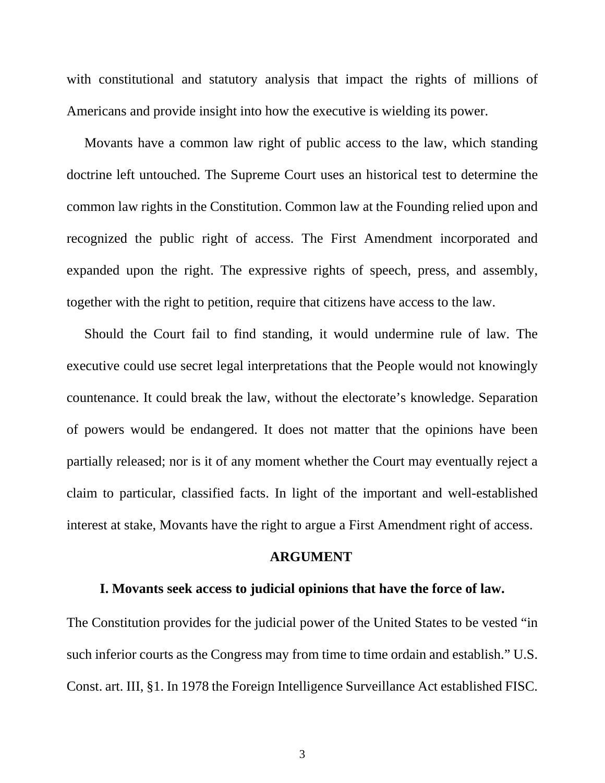with constitutional and statutory analysis that impact the rights of millions of Americans and provide insight into how the executive is wielding its power.

Movants have a common law right of public access to the law, which standing doctrine left untouched. The Supreme Court uses an historical test to determine the common law rights in the Constitution. Common law at the Founding relied upon and recognized the public right of access. The First Amendment incorporated and expanded upon the right. The expressive rights of speech, press, and assembly, together with the right to petition, require that citizens have access to the law.

Should the Court fail to find standing, it would undermine rule of law. The executive could use secret legal interpretations that the People would not knowingly countenance. It could break the law, without the electorate's knowledge. Separation of powers would be endangered. It does not matter that the opinions have been partially released; nor is it of any moment whether the Court may eventually reject a claim to particular, classified facts. In light of the important and well-established interest at stake, Movants have the right to argue a First Amendment right of access.

#### **ARGUMENT**

#### **I. Movants seek access to judicial opinions that have the force of law.**

The Constitution provides for the judicial power of the United States to be vested "in such inferior courts as the Congress may from time to time ordain and establish." U.S. Const. art. III, §1. In 1978 the Foreign Intelligence Surveillance Act established FISC.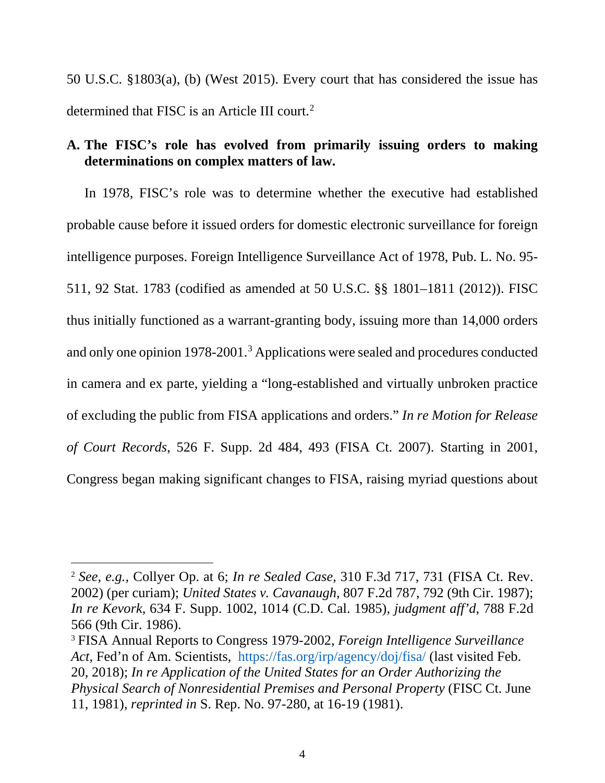50 U.S.C. §1803(a), (b) (West 2015). Every court that has considered the issue has determined that FISC is an Article III court.<sup>[2](#page-17-0)</sup>

# **A. The FISC's role has evolved from primarily issuing orders to making determinations on complex matters of law.**

In 1978, FISC's role was to determine whether the executive had established probable cause before it issued orders for domestic electronic surveillance for foreign intelligence purposes. Foreign Intelligence Surveillance Act of 1978, Pub. L. No. 95- 511, 92 Stat. 1783 (codified as amended at 50 U.S.C. §§ 1801–1811 (2012)). FISC thus initially functioned as a warrant-granting body, issuing more than 14,000 orders and only one opinion 1978-2001.[3](#page-17-1) Applications were sealed and procedures conducted in camera and ex parte, yielding a "long-established and virtually unbroken practice of excluding the public from FISA applications and orders." *In re Motion for Release of Court Records*, 526 F. Supp. 2d 484, 493 (FISA Ct. 2007). Starting in 2001, Congress began making significant changes to FISA, raising myriad questions about

<span id="page-17-0"></span> <sup>2</sup> *See, e.g.,* Collyer Op. at 6; *In re Sealed Case*, 310 F.3d 717, 731 (FISA Ct. Rev. 2002) (per curiam); *United States v. Cavanaugh*, 807 F.2d 787, 792 (9th Cir. 1987); *In re Kevork*, 634 F. Supp. 1002, 1014 (C.D. Cal. 1985), *judgment aff'd*, 788 F.2d 566 (9th Cir. 1986).

<span id="page-17-1"></span><sup>3</sup> FISA Annual Reports to Congress 1979-2002, *Foreign Intelligence Surveillance Act*, Fed'n of Am. Scientists, <https://fas.org/irp/agency/doj/fisa/> (last visited Feb. 20, 2018); *In re Application of the United States for an Order Authorizing the Physical Search of Nonresidential Premises and Personal Property* (FISC Ct. June 11, 1981), *reprinted in* S. Rep. No. 97-280, at 16-19 (1981).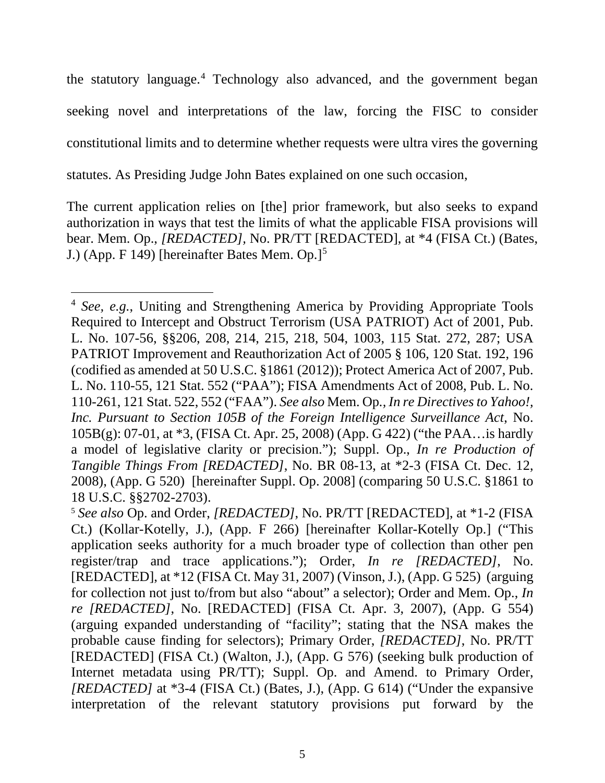the statutory language.<sup>[4](#page-18-0)</sup> Technology also advanced, and the government began seeking novel and interpretations of the law, forcing the FISC to consider constitutional limits and to determine whether requests were ultra vires the governing statutes. As Presiding Judge John Bates explained on one such occasion,

The current application relies on [the] prior framework, but also seeks to expand authorization in ways that test the limits of what the applicable FISA provisions will bear. Mem. Op., *[REDACTED],* No. PR/TT [REDACTED], at \*4 (FISA Ct.) (Bates, J.) (App. F 149) [hereinafter Bates Mem. Op.]<sup>[5](#page-18-1)</sup>

<span id="page-18-0"></span><sup>&</sup>lt;sup>4</sup> *See, e.g.*, Uniting and Strengthening America by Providing Appropriate Tools Required to Intercept and Obstruct Terrorism (USA PATRIOT) Act of 2001, Pub. L. No. 107-56, §§206, 208, 214, 215, 218, 504, 1003, 115 Stat. 272, 287; USA PATRIOT Improvement and Reauthorization Act of 2005 § 106, 120 Stat. 192, 196 (codified as amended at 50 U.S.C. §1861 (2012)); Protect America Act of 2007, Pub. L. No. 110-55, 121 Stat. 552 ("PAA"); FISA Amendments Act of 2008, Pub. L. No. 110-261, 121 Stat. 522, 552 ("FAA"). *See also* Mem. Op*., In re Directives to Yahoo!, Inc. Pursuant to Section 105B of the Foreign Intelligence Surveillance Act*, No. 105B(g): 07-01, at \*3, (FISA Ct. Apr. 25, 2008) (App. G 422) ("the PAA…is hardly a model of legislative clarity or precision."); Suppl. Op., *In re Production of Tangible Things From [REDACTED]*, No. BR 08-13, at \*2-3 (FISA Ct. Dec. 12, 2008), (App. G 520) [hereinafter Suppl. Op. 2008] (comparing 50 U.S.C. §1861 to 18 U.S.C. §§2702-2703).

<span id="page-18-1"></span><sup>5</sup> *See also* Op. and Order, *[REDACTED]*, No. PR/TT [REDACTED], at \*1-2 (FISA Ct.) (Kollar-Kotelly, J.), (App. F 266) [hereinafter Kollar-Kotelly Op.] ("This application seeks authority for a much broader type of collection than other pen register/trap and trace applications."); Order, *In re [REDACTED]*, No. [REDACTED], at \*12 (FISA Ct. May 31, 2007) (Vinson, J.), (App. G 525) (arguing for collection not just to/from but also "about" a selector); Order and Mem. Op., *In re [REDACTED]*, No. [REDACTED] (FISA Ct. Apr. 3, 2007), (App. G 554) (arguing expanded understanding of "facility"; stating that the NSA makes the probable cause finding for selectors); Primary Order, *[REDACTED]*, No. PR/TT [REDACTED] (FISA Ct.) (Walton, J.), (App. G 576) (seeking bulk production of Internet metadata using PR/TT); Suppl. Op. and Amend. to Primary Order, *[REDACTED]* at \*3-4 (FISA Ct.) (Bates, J.), (App. G 614) ("Under the expansive interpretation of the relevant statutory provisions put forward by the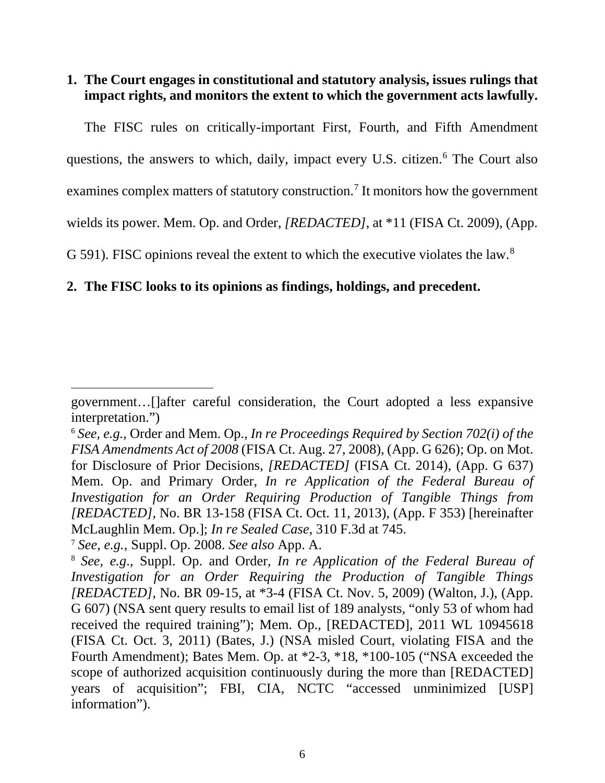# **1. The Court engages in constitutional and statutory analysis, issues rulings that impact rights, and monitors the extent to which the government acts lawfully.**

The FISC rules on critically-important First, Fourth, and Fifth Amendment questions, the answers to which, daily, impact every U.S. citizen.<sup>[6](#page-19-0)</sup> The Court also examines complex matters of statutory construction.<sup>[7](#page-19-1)</sup> It monitors how the government wields its power. Mem. Op. and Order, *[REDACTED]*, at \*11 (FISA Ct. 2009), (App. G 591). FISC opinions reveal the extent to which the executive violates the law.<sup>[8](#page-19-2)</sup>

## **2. The FISC looks to its opinions as findings, holdings, and precedent.**

 $\overline{a}$ 

government…[]after careful consideration, the Court adopted a less expansive interpretation.")

<span id="page-19-0"></span><sup>6</sup> *See, e.g.*, Order and Mem. Op., *In re Proceedings Required by Section 702(i) of the FISA Amendments Act of 2008* (FISA Ct. Aug. 27, 2008), (App. G 626); Op. on Mot. for Disclosure of Prior Decisions, *[REDACTED]* (FISA Ct. 2014), (App. G 637) Mem. Op. and Primary Order, *In re Application of the Federal Bureau of Investigation for an Order Requiring Production of Tangible Things from [REDACTED]*, No. BR 13-158 (FISA Ct. Oct. 11, 2013), (App. F 353) [hereinafter McLaughlin Mem. Op.]; *In re Sealed Case*, 310 F.3d at 745.

<span id="page-19-1"></span><sup>7</sup> *See, e.g.*, Suppl. Op. 2008. *See also* App. A.

<span id="page-19-2"></span><sup>8</sup> *See, e.g*.*,* Suppl. Op. and Order, *In re Application of the Federal Bureau of Investigation for an Order Requiring the Production of Tangible Things [REDACTED]*, No. BR 09-15, at \*3-4 (FISA Ct. Nov. 5, 2009) (Walton, J.), (App. G 607) (NSA sent query results to email list of 189 analysts, "only 53 of whom had received the required training"); Mem. Op., [REDACTED]*,* 2011 WL 10945618 (FISA Ct. Oct. 3, 2011) (Bates, J.) (NSA misled Court, violating FISA and the Fourth Amendment); Bates Mem. Op. at \*2-3, \*18, \*100-105 ("NSA exceeded the scope of authorized acquisition continuously during the more than [REDACTED] years of acquisition"; FBI, CIA, NCTC "accessed unminimized [USP] information").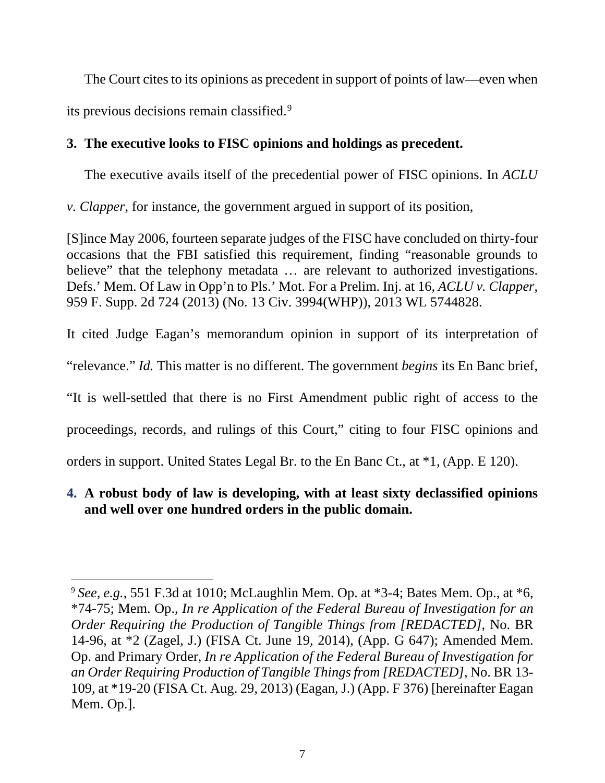The Court cites to its opinions as precedent in support of points of law—even when its previous decisions remain classified.<sup>[9](#page-20-0)</sup>

# **3. The executive looks to FISC opinions and holdings as precedent.**

The executive avails itself of the precedential power of FISC opinions. In *ACLU* 

*v. Clapper*, for instance, the government argued in support of its position,

[S]ince May 2006, fourteen separate judges of the FISC have concluded on thirty-four occasions that the FBI satisfied this requirement, finding "reasonable grounds to believe" that the telephony metadata ... are relevant to authorized investigations. Defs.' Mem. Of Law in Opp'n to Pls.' Mot. For a Prelim. Inj. at 16, *ACLU v. Clapper*, 959 F. Supp. 2d 724 (2013) (No. 13 Civ. 3994(WHP)), 2013 WL 5744828.

It cited Judge Eagan's memorandum opinion in support of its interpretation of

"relevance." *Id.* This matter is no different. The government *begins* its En Banc brief,

"It is well-settled that there is no First Amendment public right of access to the

proceedings, records, and rulings of this Court," citing to four FISC opinions and

orders in support. United States Legal Br. to the En Banc Ct., at \*1, (App. E 120).

# **4. A robust body of law is developing, with at least sixty declassified opinions and well over one hundred orders in the public domain.**

<span id="page-20-0"></span> <sup>9</sup> *See, e.g.*, 551 F.3d at 1010; McLaughlin Mem. Op. at \*3-4; Bates Mem. Op., at \*6, \*74-75; Mem. Op., *In re Application of the Federal Bureau of Investigation for an Order Requiring the Production of Tangible Things from [REDACTED]*, No. BR 14-96, at \*2 (Zagel, J.) (FISA Ct. June 19, 2014), (App. G 647); Amended Mem. Op. and Primary Order, *In re Application of the Federal Bureau of Investigation for an Order Requiring Production of Tangible Things from [REDACTED]*, No. BR 13- 109, at \*19-20 (FISA Ct. Aug. 29, 2013) (Eagan, J.) (App. F 376) [hereinafter Eagan Mem. Op.].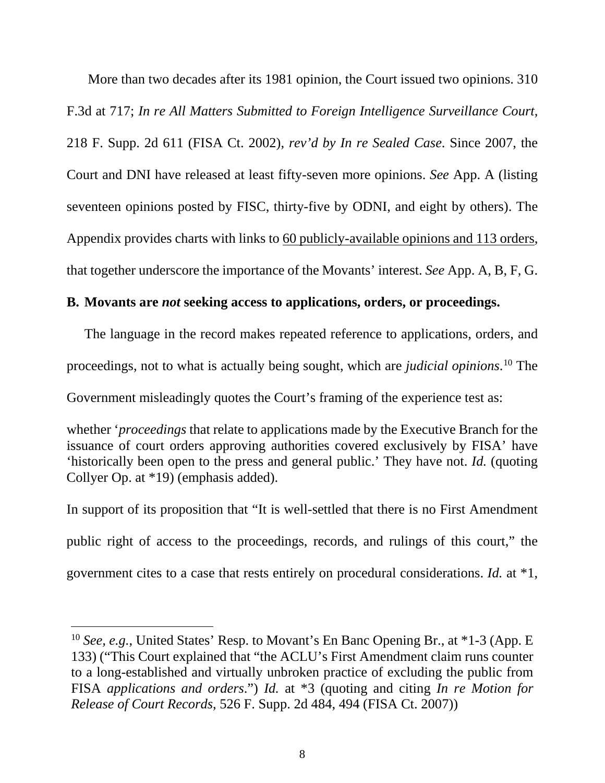More than two decades after its 1981 opinion, the Court issued two opinions. 310 F.3d at 717; *In re All Matters Submitted to Foreign Intelligence Surveillance Court*, 218 F. Supp. 2d 611 (FISA Ct. 2002), *rev'd by In re Sealed Case*. Since 2007, the Court and DNI have released at least fifty-seven more opinions. *See* App. A (listing seventeen opinions posted by FISC, thirty-five by ODNI, and eight by others). The Appendix provides charts with links to 60 publicly-available opinions and 113 orders, that together underscore the importance of the Movants' interest. *See* App. A, B, F, G.

#### **B. Movants are** *not* **seeking access to applications, orders, or proceedings.**

The language in the record makes repeated reference to applications, orders, and proceedings, not to what is actually being sought, which are *judicial opinions*. [10](#page-21-0) The Government misleadingly quotes the Court's framing of the experience test as:

whether '*proceedings* that relate to applications made by the Executive Branch for the issuance of court orders approving authorities covered exclusively by FISA' have 'historically been open to the press and general public.' They have not. *Id.* (quoting Collyer Op. at \*19) (emphasis added).

In support of its proposition that "It is well-settled that there is no First Amendment public right of access to the proceedings, records, and rulings of this court," the government cites to a case that rests entirely on procedural considerations. *Id.* at \*1,

<span id="page-21-0"></span><sup>&</sup>lt;sup>10</sup> *See, e.g.*, United States' Resp. to Movant's En Banc Opening Br., at \*1-3 (App. E 133) ("This Court explained that "the ACLU's First Amendment claim runs counter to a long-established and virtually unbroken practice of excluding the public from FISA *applications and orders*.") *Id.* at \*3 (quoting and citing *In re Motion for Release of Court Records*, 526 F. Supp. 2d 484, 494 (FISA Ct. 2007))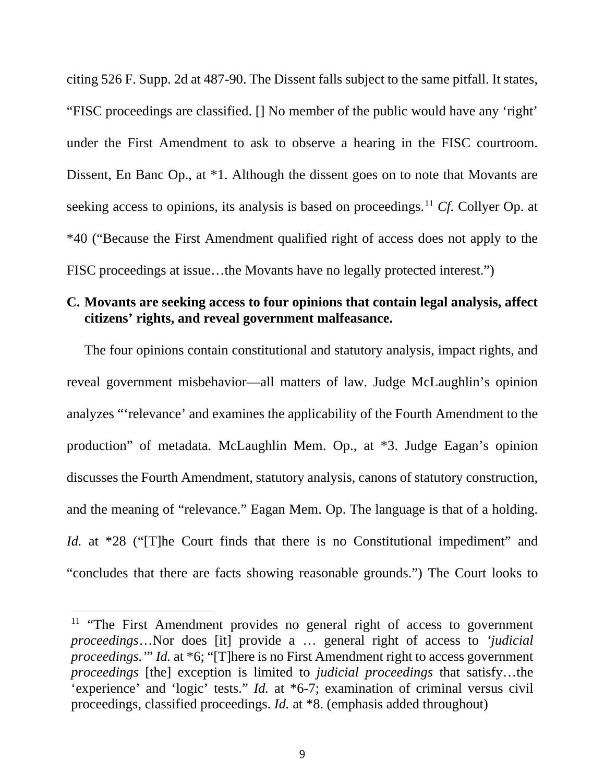citing 526 F. Supp. 2d at 487-90. The Dissent falls subject to the same pitfall. It states, "FISC proceedings are classified. [] No member of the public would have any 'right' under the First Amendment to ask to observe a hearing in the FISC courtroom. Dissent, En Banc Op., at \*1. Although the dissent goes on to note that Movants are seeking access to opinions, its analysis is based on proceedings.<sup>[11](#page-22-0)</sup> Cf. Collyer Op. at \*40 ("Because the First Amendment qualified right of access does not apply to the FISC proceedings at issue...the Movants have no legally protected interest."

#### **C. Movants are seeking access to four opinions that contain legal analysis, affect citizens' rights, and reveal government malfeasance.**

The four opinions contain constitutional and statutory analysis, impact rights, and reveal government misbehavior—all matters of law. Judge McLaughlin's opinion analyzes "'relevance' and examines the applicability of the Fourth Amendment to the production" of metadata. McLaughlin Mem. Op., at \*3. Judge Eagan's opinion discusses the Fourth Amendment, statutory analysis, canons of statutory construction, and the meaning of "relevance." Eagan Mem. Op. The language is that of a holding. *Id.* at \*28 ("The Court finds that there is no Constitutional impediment" and "concludes that there are facts showing reasonable grounds.") The Court looks to

9

<span id="page-22-0"></span><sup>&</sup>lt;sup>11</sup> "The First Amendment provides no general right of access to government *proceedings*…Nor does [it] provide a … general right of access to *'judicial proceedings.'*" *Id.* at \*6; "[T]here is no First Amendment right to access government *proceedings* [the] exception is limited to *judicial proceedings* that satisfy…the 'experience' and 'logic' tests." *Id.* at \*6-7; examination of criminal versus civil proceedings, classified proceedings. *Id.* at \*8. (emphasis added throughout)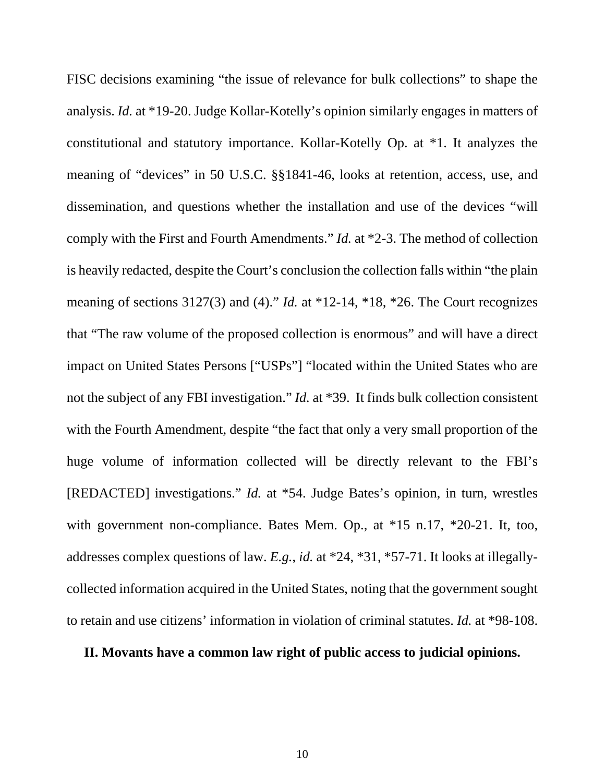FISC decisions examining "the issue of relevance for bulk collections" to shape the analysis. *Id.* at \*19-20. Judge Kollar-Kotelly's opinion similarly engages in matters of constitutional and statutory importance. Kollar-Kotelly Op. at \*1. It analyzes the meaning of "devices" in 50 U.S.C. §§1841-46, looks at retention, access, use, and dissemination, and questions whether the installation and use of the devices "will comply with the First and Fourth Amendments." *Id.* at \*2-3. The method of collection is heavily redacted, despite the Court's conclusion the collection falls within "the plain meaning of sections 3127(3) and (4)." *Id.* at \*12-14, \*18, \*26. The Court recognizes that "The raw volume of the proposed collection is enormous" and will have a direct impact on United States Persons ["USPs"] "located within the United States who are not the subject of any FBI investigation." *Id.* at \*39. It finds bulk collection consistent with the Fourth Amendment, despite "the fact that only a very small proportion of the huge volume of information collected will be directly relevant to the FBI's [REDACTED] investigations." *Id.* at \*54. Judge Bates's opinion, in turn, wrestles with government non-compliance. Bates Mem. Op., at \*15 n.17, \*20-21. It, too, addresses complex questions of law. *E.g.*, *id.* at \*24, \*31, \*57-71. It looks at illegallycollected information acquired in the United States, noting that the government sought to retain and use citizens' information in violation of criminal statutes. *Id.* at \*98-108.

#### **II. Movants have a common law right of public access to judicial opinions.**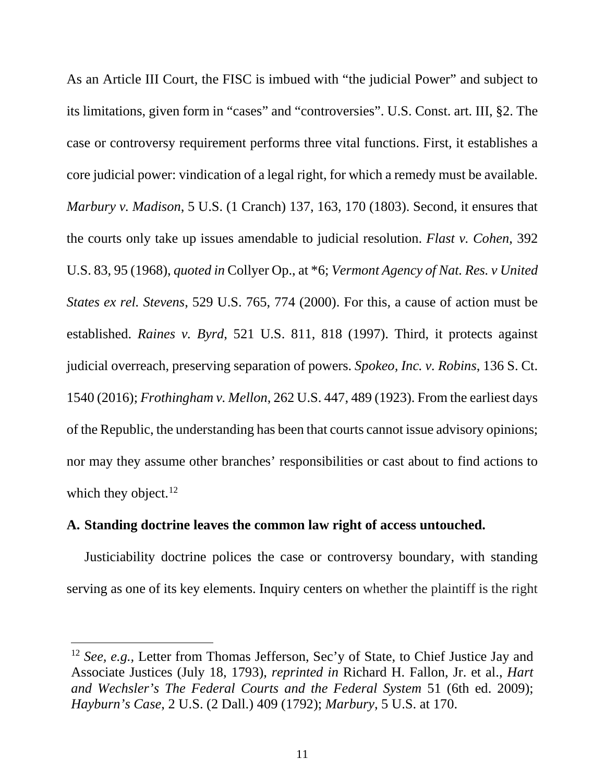As an Article III Court, the FISC is imbued with "the judicial Power" and subject to its limitations, given form in "cases" and "controversies". U.S. Const. art. III, §2. The case or controversy requirement performs three vital functions. First, it establishes a core judicial power: vindication of a legal right, for which a remedy must be available. *Marbury v. Madison*, 5 U.S. (1 Cranch) 137, 163, 170 (1803). Second, it ensures that the courts only take up issues amendable to judicial resolution. *Flast v. Cohen*, 392 U.S. 83, 95 (1968), *quoted in* Collyer Op., at \*6; *Vermont Agency of Nat. Res. v United States ex rel. Stevens*, 529 U.S. 765, 774 (2000). For this, a cause of action must be established. *Raines v. Byrd*, 521 U.S. 811, 818 (1997). Third, it protects against judicial overreach, preserving separation of powers. *Spokeo, Inc. v. Robins*, 136 S. Ct. 1540 (2016); *Frothingham v. Mellon*, 262 U.S. 447, 489 (1923). From the earliest days of the Republic, the understanding has been that courts cannot issue advisory opinions; nor may they assume other branches' responsibilities or cast about to find actions to which they object.<sup>[12](#page-24-0)</sup>

# **A. Standing doctrine leaves the common law right of access untouched.**

Justiciability doctrine polices the case or controversy boundary, with standing serving as one of its key elements. Inquiry centers on whether the plaintiff is the right

<span id="page-24-0"></span><sup>&</sup>lt;sup>12</sup> *See, e.g.*, Letter from Thomas Jefferson, Sec'y of State, to Chief Justice Jay and Associate Justices (July 18, 1793), *reprinted in* Richard H. Fallon, Jr. et al., *Hart and Wechsler's The Federal Courts and the Federal System* 51 (6th ed. 2009); *Hayburn's Case*, 2 U.S. (2 Dall.) 409 (1792); *Marbury*, 5 U.S. at 170.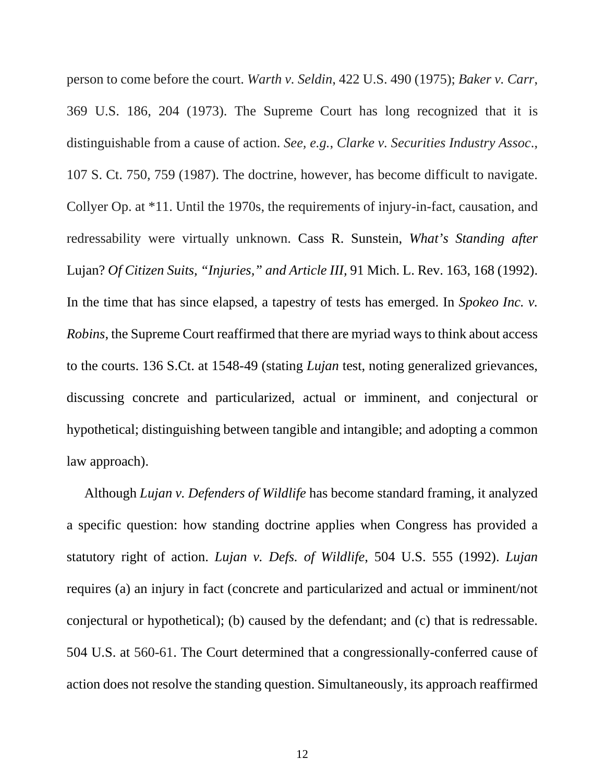person to come before the court. *Warth v. Seldin*, 422 U.S. 490 (1975); *Baker v. Carr*, 369 U.S. 186, 204 (1973). The Supreme Court has long recognized that it is distinguishable from a cause of action. *See, e.g.*, *Clarke v. Securities Industry Assoc*., 107 S. Ct. 750, 759 (1987). The doctrine, however, has become difficult to navigate. Collyer Op. at \*11. Until the 1970s, the requirements of injury-in-fact, causation, and redressability were virtually unknown. Cass R. Sunstein, *What's Standing after* Lujan? *Of Citizen Suits, "Injuries," and Article III,* 91 Mich. L. Rev. 163, 168 (1992). In the time that has since elapsed, a tapestry of tests has emerged. In *Spokeo Inc. v. Robins*, the Supreme Court reaffirmed that there are myriad ways to think about access to the courts. 136 S.Ct. at 1548-49 (stating *Lujan* test, noting generalized grievances, discussing concrete and particularized, actual or imminent, and conjectural or hypothetical; distinguishing between tangible and intangible; and adopting a common law approach).

Although *Lujan v. Defenders of Wildlife* has become standard framing, it analyzed a specific question: how standing doctrine applies when Congress has provided a statutory right of action. *Lujan v. Defs. of Wildlife*, 504 U.S. 555 (1992). *Lujan* requires (a) an injury in fact (concrete and particularized and actual or imminent/not conjectural or hypothetical); (b) caused by the defendant; and (c) that is redressable. 504 U.S. at 560-61. The Court determined that a congressionally-conferred cause of action does not resolve the standing question. Simultaneously, its approach reaffirmed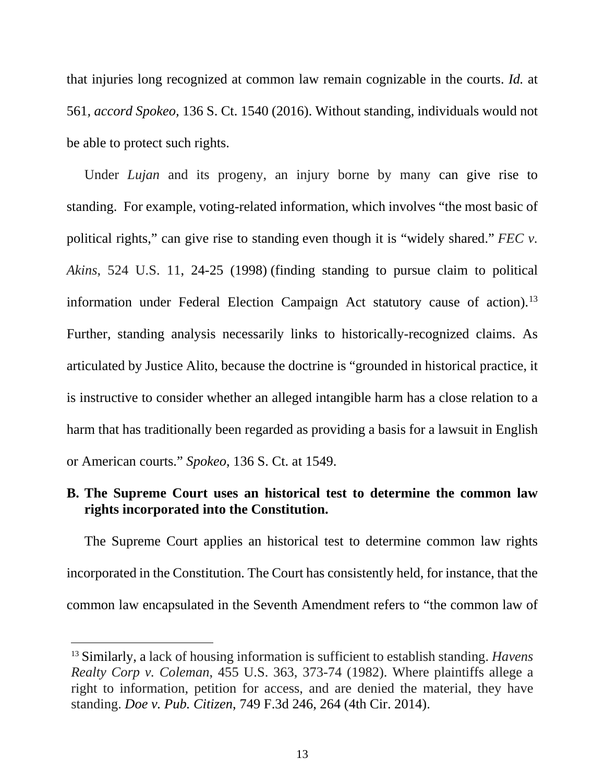that injuries long recognized at common law remain cognizable in the courts. *Id.* at 561*, accord Spokeo,* 136 S. Ct. 1540 (2016). Without standing, individuals would not be able to protect such rights.

Under *Lujan* and its progeny, an injury borne by many can give rise to standing. For example, voting-related information, which involves "the most basic of political rights," can give rise to standing even though it is "widely shared." *FEC v. Akins*, 524 U.S. 11, 24-25 (1998) (finding standing to pursue claim to political information under Federal Election Campaign Act statutory cause of action).<sup>[13](#page-26-0)</sup> Further, standing analysis necessarily links to historically-recognized claims. As articulated by Justice Alito, because the doctrine is "grounded in historical practice, it is instructive to consider whether an alleged intangible harm has a close relation to a harm that has traditionally been regarded as providing a basis for a lawsuit in English or American courts." *Spokeo*, 136 S. Ct. at 1549.

#### **B. The Supreme Court uses an historical test to determine the common law rights incorporated into the Constitution.**

The Supreme Court applies an historical test to determine common law rights incorporated in the Constitution. The Court has consistently held, for instance, that the common law encapsulated in the Seventh Amendment refers to "the common law of

<span id="page-26-0"></span> <sup>13</sup> Similarly, a lack of housing information is sufficient to establish standing. *Havens Realty Corp v. Coleman*, 455 U.S. 363, 373-74 (1982). Where plaintiffs allege a right to information, petition for access, and are denied the material, they have standing. *Doe v. Pub. Citizen*, 749 F.3d 246, 264 (4th Cir. 2014).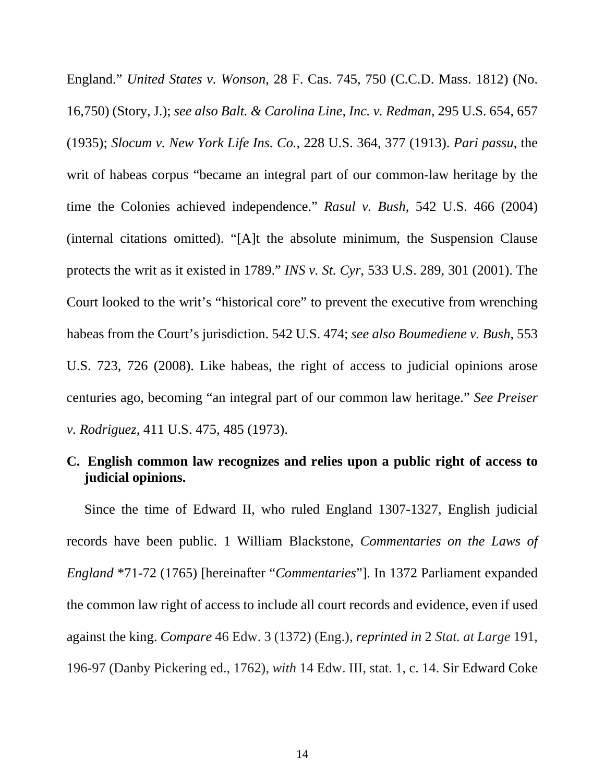England." *United States v. Wonson*, 28 F. Cas. 745, 750 (C.C.D. Mass. 1812) (No. 16,750) (Story, J.); *see also Balt. & Carolina Line, Inc. v. Redman*, 295 U.S. 654, 657 (1935); *Slocum v. New York Life Ins. Co.*, 228 U.S. 364, 377 (1913). *Pari passu*, the writ of habeas corpus "became an integral part of our common-law heritage by the time the Colonies achieved independence." *Rasul v. Bush*, 542 U.S. 466 (2004) (internal citations omitted). "[A]t the absolute minimum, the Suspension Clause protects the writ as it existed in 1789." *INS v. St. Cyr*, 533 U.S. 289, 301 (2001). The Court looked to the writ's "historical core" to prevent the executive from wrenching habeas from the Court's jurisdiction. 542 U.S. 474; *see also Boumediene v. Bush*, 553 U.S. 723, 726 (2008). Like habeas, the right of access to judicial opinions arose centuries ago, becoming "an integral part of our common law heritage." *See Preiser v. Rodriguez*, 411 U.S. 475, 485 (1973).

#### **C. English common law recognizes and relies upon a public right of access to judicial opinions.**

Since the time of Edward II, who ruled England 1307-1327, English judicial records have been public. 1 William Blackstone, *Commentaries on the Laws of England* \*71-72 (1765) [hereinafter "*Commentaries*"]. In 1372 Parliament expanded the common law right of access to include all court records and evidence, even if used against the king. *Compare* 46 Edw. 3 (1372) (Eng.), *reprinted in* 2 *Stat. at Large* 191, 196-97 (Danby Pickering ed., 1762), *with* 14 Edw. III, stat. 1, c. 14. Sir Edward Coke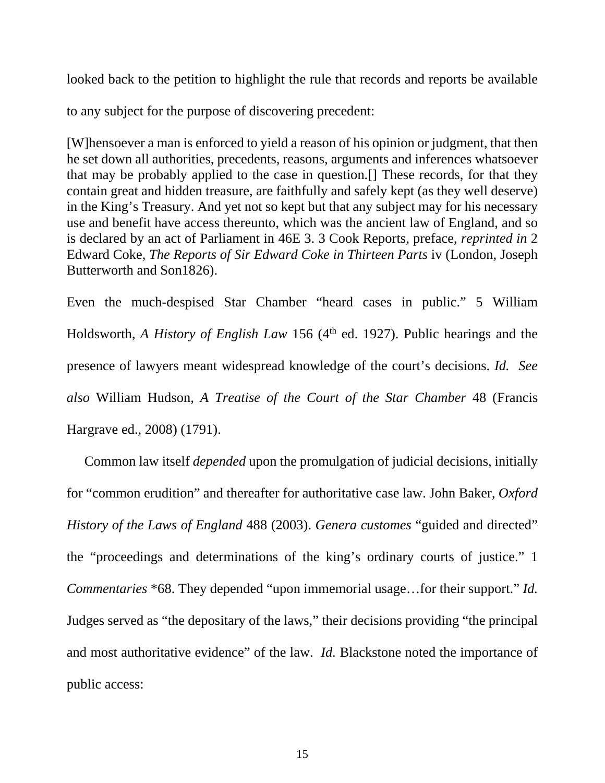looked back to the petition to highlight the rule that records and reports be available

to any subject for the purpose of discovering precedent:

[W]hensoever a man is enforced to yield a reason of his opinion or judgment, that then he set down all authorities, precedents, reasons, arguments and inferences whatsoever that may be probably applied to the case in question.[] These records, for that they contain great and hidden treasure, are faithfully and safely kept (as they well deserve) in the King's Treasury. And yet not so kept but that any subject may for his necessary use and benefit have access thereunto, which was the ancient law of England, and so is declared by an act of Parliament in 46E 3. 3 Cook Reports, preface, *reprinted in* 2 Edward Coke, *The Reports of Sir Edward Coke in Thirteen Parts* iv (London, Joseph Butterworth and Son1826).

Even the much-despised Star Chamber "heard cases in public." 5 William Holdsworth, *A History of English Law* 156 (4<sup>th</sup> ed. 1927). Public hearings and the presence of lawyers meant widespread knowledge of the court's decisions. *Id. See also* William Hudson*, A Treatise of the Court of the Star Chamber* 48 (Francis Hargrave ed., 2008) (1791).

Common law itself *depended* upon the promulgation of judicial decisions, initially for "common erudition" and thereafter for authoritative case law. John Baker, *Oxford History of the Laws of England* 488 (2003). *Genera customes* "guided and directed" the "proceedings and determinations of the king's ordinary courts of justice." 1 *Commentaries* \*68. They depended "upon immemorial usage…for their support." *Id.* Judges served as "the depositary of the laws," their decisions providing "the principal and most authoritative evidence" of the law. *Id.* Blackstone noted the importance of public access: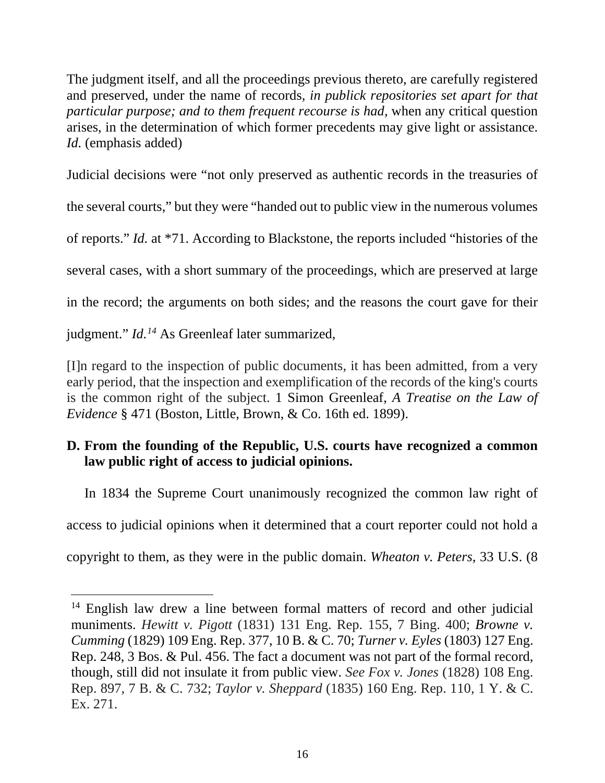The judgment itself, and all the proceedings previous thereto, are carefully registered and preserved, under the name of records*, in publick repositories set apart for that particular purpose; and to them frequent recourse is had,* when any critical question arises, in the determination of which former precedents may give light or assistance. *Id.* (emphasis added)

Judicial decisions were "not only preserved as authentic records in the treasuries of

the several courts," but they were "handed out to public view in the numerous volumes

of reports." *Id.* at \*71. According to Blackstone, the reports included "histories of the

several cases, with a short summary of the proceedings, which are preserved at large

in the record; the arguments on both sides; and the reasons the court gave for their

judgment." *Id.[14](#page-29-0)* As Greenleaf later summarized,

[I]n regard to the inspection of public documents, it has been admitted, from a very early period, that the inspection and exemplification of the records of the king's courts is the common right of the subject. 1 Simon Greenleaf, *A Treatise on the Law of Evidence* § 471 (Boston, Little, Brown, & Co. 16th ed. 1899).

# **D. From the founding of the Republic, U.S. courts have recognized a common law public right of access to judicial opinions.**

In 1834 the Supreme Court unanimously recognized the common law right of

access to judicial opinions when it determined that a court reporter could not hold a

copyright to them, as they were in the public domain. *Wheaton v. Peters*, 33 U.S. (8

<span id="page-29-0"></span><sup>&</sup>lt;sup>14</sup> English law drew a line between formal matters of record and other judicial muniments. *Hewitt v. Pigott* (1831) 131 Eng. Rep. 155, 7 Bing. 400; *Browne v. Cumming* (1829) 109 Eng. Rep. 377, 10 B. & C. 70; *Turner v. Eyles* (1803) 127 Eng. Rep. 248, 3 Bos. & Pul. 456. The fact a document was not part of the formal record, though, still did not insulate it from public view. *See Fox v. Jones* (1828) 108 Eng. Rep. 897, 7 B. & C. 732; *Taylor v. Sheppard* (1835) 160 Eng. Rep. 110, 1 Y. & C. Ex. 271.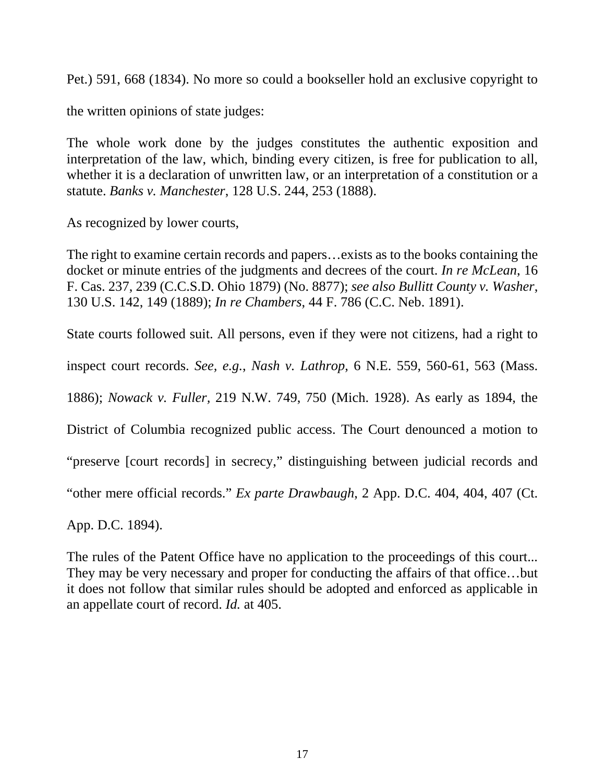Pet.) 591, 668 (1834). No more so could a bookseller hold an exclusive copyright to

the written opinions of state judges:

The whole work done by the judges constitutes the authentic exposition and interpretation of the law, which, binding every citizen, is free for publication to all, whether it is a declaration of unwritten law, or an interpretation of a constitution or a statute. *Banks v. Manchester*, 128 U.S. 244, 253 (1888).

As recognized by lower courts,

The right to examine certain records and papers…exists as to the books containing the docket or minute entries of the judgments and decrees of the court. *In re McLean*, 16 F. Cas. 237, 239 (C.C.S.D. Ohio 1879) (No. 8877); *see also Bullitt County v. Washer*, 130 U.S. 142, 149 (1889); *In re Chambers*, 44 F. 786 (C.C. Neb. 1891).

State courts followed suit. All persons, even if they were not citizens, had a right to

inspect court records. *See, e.g.*, *Nash v. Lathrop*, 6 N.E. 559, 560-61, 563 (Mass.

1886); *Nowack v. Fuller,* 219 N.W. 749, 750 (Mich. 1928). As early as 1894, the

District of Columbia recognized public access. The Court denounced a motion to

"preserve [court records] in secrecy," distinguishing between judicial records and

"other mere official records." *Ex parte Drawbaugh*, 2 App. D.C. 404, 404, 407 (Ct.

App. D.C. 1894).

The rules of the Patent Office have no application to the proceedings of this court... They may be very necessary and proper for conducting the affairs of that office…but it does not follow that similar rules should be adopted and enforced as applicable in an appellate court of record. *Id.* at 405.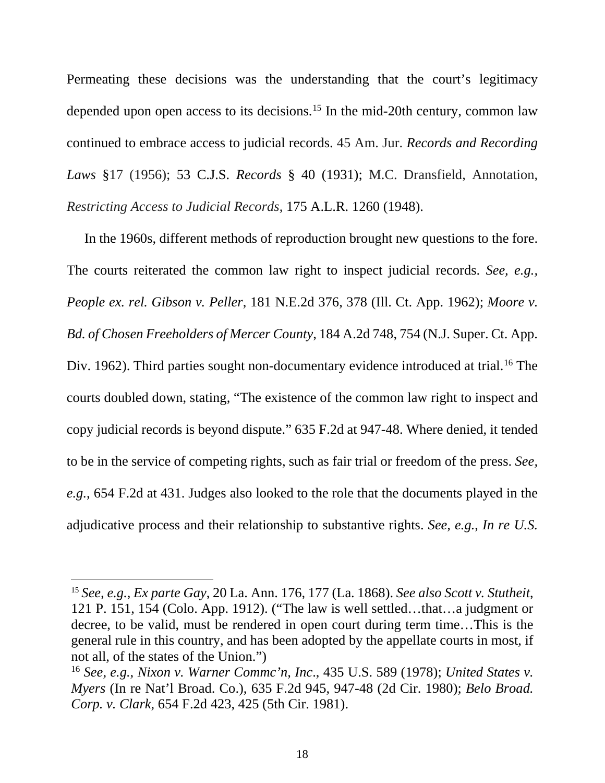Permeating these decisions was the understanding that the court's legitimacy depended upon open access to its decisions.<sup>15</sup> In the mid-20th century, common law continued to embrace access to judicial records. 45 Am. Jur. *Records and Recording Laws* §17 (1956); 53 C.J.S. *Records* § 40 (1931); M.C. Dransfield, Annotation, *Restricting Access to Judicial Records*, 175 A.L.R. 1260 (1948).

In the 1960s, different methods of reproduction brought new questions to the fore. The courts reiterated the common law right to inspect judicial records. *See, e.g., People ex. rel. Gibson v. Peller*, 181 N.E.2d 376, 378 (Ill. Ct. App. 1962); *Moore v. Bd. of Chosen Freeholders of Mercer County*, 184 A.2d 748, 754 (N.J. Super. Ct. App. Div. 1962). Third parties sought non-documentary evidence introduced at trial.<sup>[16](#page-31-1)</sup> The courts doubled down, stating, "The existence of the common law right to inspect and copy judicial records is beyond dispute." 635 F.2d at 947-48. Where denied, it tended to be in the service of competing rights, such as fair trial or freedom of the press. *See, e.g.*, 654 F.2d at 431. Judges also looked to the role that the documents played in the adjudicative process and their relationship to substantive rights. *See, e.g.*, *In re U.S.* 

<span id="page-31-0"></span> <sup>15</sup> *See, e.g., Ex parte Gay*, 20 La. Ann. 176, 177 (La. 1868). *See also Scott v. Stutheit*, 121 P. 151, 154 (Colo. App. 1912). ("The law is well settled…that…a judgment or decree, to be valid, must be rendered in open court during term time…This is the general rule in this country, and has been adopted by the appellate courts in most, if not all, of the states of the Union.")

<span id="page-31-1"></span><sup>16</sup> *See, e.g.*, *Nixon v. Warner Commc'n, Inc*., 435 U.S. 589 (1978); *United States v. Myers* (In re Nat'l Broad. Co.), 635 F.2d 945, 947-48 (2d Cir. 1980); *Belo Broad. Corp. v. Clark*, 654 F.2d 423, 425 (5th Cir. 1981).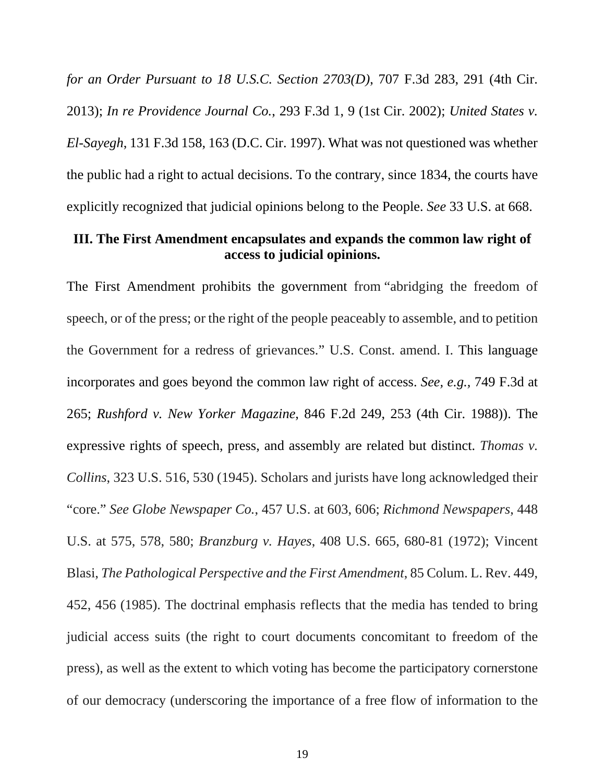*for an Order Pursuant to 18 U.S.C. Section 2703(D)*, 707 F.3d 283, 291 (4th Cir. 2013); *In re Providence Journal Co.*, 293 F.3d 1, 9 (1st Cir. 2002); *United States v. El-Sayegh*, 131 F.3d 158, 163 (D.C. Cir. 1997). What was not questioned was whether the public had a right to actual decisions. To the contrary, since 1834, the courts have explicitly recognized that judicial opinions belong to the People. *See* 33 U.S. at 668.

#### **III. The First Amendment encapsulates and expands the common law right of access to judicial opinions.**

The First Amendment prohibits the government from "abridging the freedom of speech, or of the press; or the right of the people peaceably to assemble, and to petition the Government for a redress of grievances." U.S. Const. amend. I. This language incorporates and goes beyond the common law right of access. *See, e.g.,* 749 F.3d at 265; *Rushford v. New Yorker Magazine*, 846 F.2d 249, 253 (4th Cir. 1988)). The expressive rights of speech, press, and assembly are related but distinct. *Thomas v. Collins*, 323 U.S. 516, 530 (1945). Scholars and jurists have long acknowledged their "core." *See Globe Newspaper Co.*, 457 U.S. at 603, 606; *Richmond Newspapers*, 448 U.S. at 575, 578, 580; *Branzburg v. Hayes*, 408 U.S. 665, 680-81 (1972); Vincent Blasi, *The Pathological Perspective and the First Amendment*, 85 Colum. L. Rev. 449, 452, 456 (1985). The doctrinal emphasis reflects that the media has tended to bring judicial access suits (the right to court documents concomitant to freedom of the press), as well as the extent to which voting has become the participatory cornerstone of our democracy (underscoring the importance of a free flow of information to the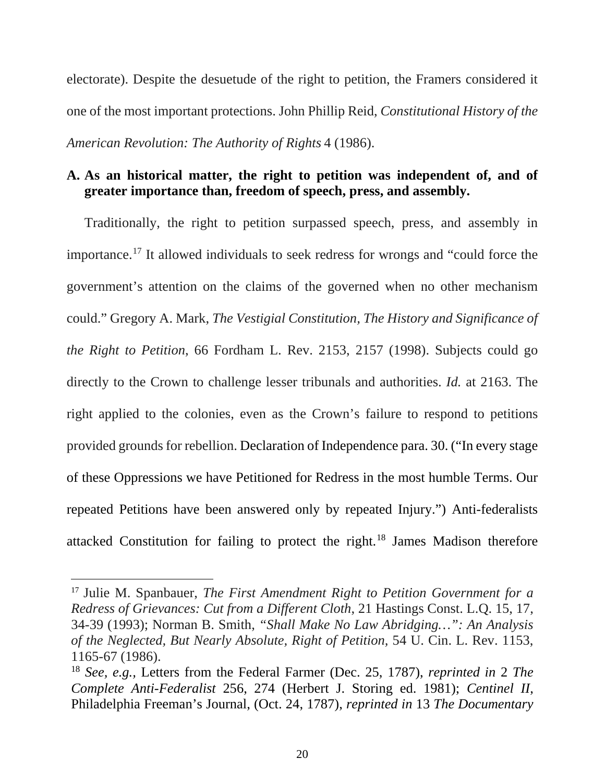electorate). Despite the desuetude of the right to petition, the Framers considered it one of the most important protections. John Phillip Reid, *Constitutional History of the American Revolution: The Authority of Rights* 4 (1986).

# **A. As an historical matter, the right to petition was independent of, and of greater importance than, freedom of speech, press, and assembly.**

Traditionally, the right to petition surpassed speech, press, and assembly in importance.[17](#page-33-0) It allowed individuals to seek redress for wrongs and "could force the government's attention on the claims of the governed when no other mechanism could." Gregory A. Mark, *The Vestigial Constitution, The History and Significance of the Right to Petition*, 66 Fordham L. Rev. 2153, 2157 (1998). Subjects could go directly to the Crown to challenge lesser tribunals and authorities. *Id.* at 2163. The right applied to the colonies, even as the Crown's failure to respond to petitions provided grounds for rebellion. Declaration of Independence para. 30. ("In every stage of these Oppressions we have Petitioned for Redress in the most humble Terms. Our repeated Petitions have been answered only by repeated Injury.") Anti-federalists attacked Constitution for failing to protect the right. [18](#page-33-1) James Madison therefore

<span id="page-33-0"></span> <sup>17</sup> Julie M. Spanbauer, *The First Amendment Right to Petition Government for a Redress of Grievances: Cut from a Different Cloth*, 21 Hastings Const. L.Q. 15, 17, 34-39 (1993); Norman B. Smith, *"Shall Make No Law Abridging…": An Analysis of the Neglected, But Nearly Absolute, Right of Petition,* 54 U. Cin. L. Rev. 1153, 1165-67 (1986).

<span id="page-33-1"></span><sup>18</sup> *See, e.g.,* Letters from the Federal Farmer (Dec. 25, 1787), *reprinted in* 2 *The Complete Anti-Federalist* 256, 274 (Herbert J. Storing ed. 1981); *Centinel II*, Philadelphia Freeman's Journal, (Oct. 24, 1787), *reprinted in* 13 *The Documentary*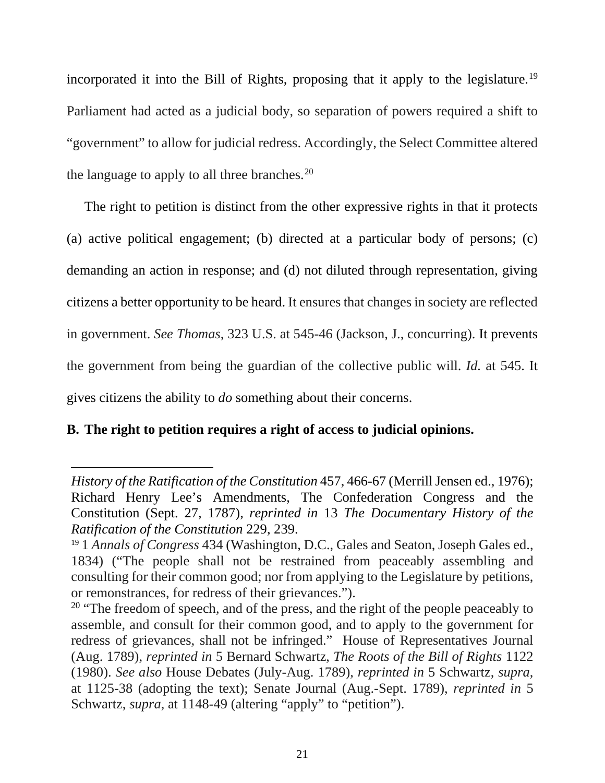incorporated it into the Bill of Rights, proposing that it apply to the legislature.<sup>[19](#page-34-0)</sup> Parliament had acted as a judicial body, so separation of powers required a shift to "government" to allow for judicial redress. Accordingly, the Select Committee altered the language to apply to all three branches.<sup>[20](#page-34-1)</sup>

The right to petition is distinct from the other expressive rights in that it protects (a) active political engagement; (b) directed at a particular body of persons; (c) demanding an action in response; and (d) not diluted through representation, giving citizens a better opportunity to be heard. It ensures that changes in society are reflected in government. *See Thomas*, 323 U.S. at 545-46 (Jackson, J., concurring). It prevents the government from being the guardian of the collective public will. *Id.* at 545. It gives citizens the ability to *do* something about their concerns.

# **B. The right to petition requires a right of access to judicial opinions.**

 $\overline{a}$ 

*History of the Ratification of the Constitution* 457, 466-67 (Merrill Jensen ed., 1976); Richard Henry Lee's Amendments, The Confederation Congress and the Constitution (Sept. 27, 1787), *reprinted in* 13 *The Documentary History of the Ratification of the Constitution* 229, 239.

<span id="page-34-0"></span><sup>19</sup> 1 *Annals of Congress* 434 (Washington, D.C., Gales and Seaton, Joseph Gales ed., 1834) ("The people shall not be restrained from peaceably assembling and consulting for their common good; nor from applying to the Legislature by petitions, or remonstrances, for redress of their grievances.").

<span id="page-34-1"></span><sup>&</sup>lt;sup>20</sup> "The freedom of speech, and of the press, and the right of the people peaceably to assemble, and consult for their common good, and to apply to the government for redress of grievances, shall not be infringed." House of Representatives Journal (Aug. 1789), *reprinted in* 5 Bernard Schwartz, *The Roots of the Bill of Rights* 1122 (1980). *See also* House Debates (July-Aug. 1789), *reprinted in* 5 Schwartz, *supra*, at 1125-38 (adopting the text); Senate Journal (Aug.-Sept. 1789), *reprinted in* 5 Schwartz, *supra*, at 1148-49 (altering "apply" to "petition").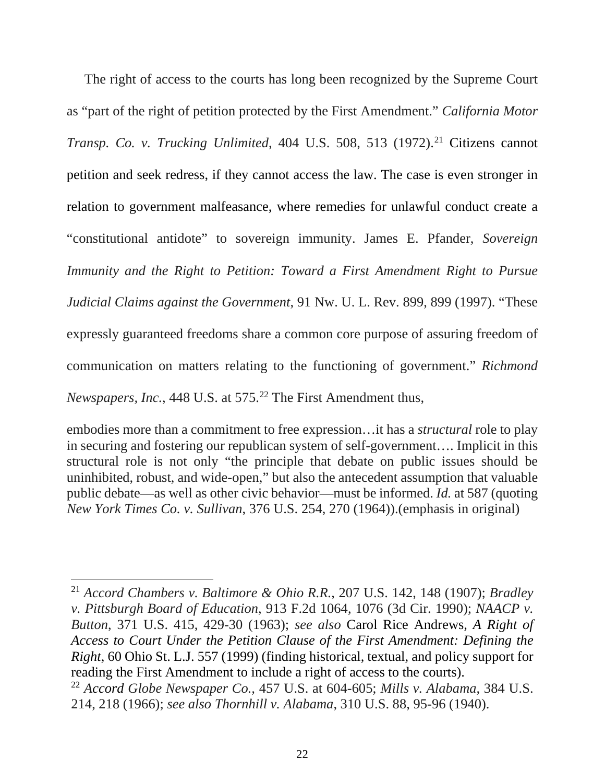The right of access to the courts has long been recognized by the Supreme Court as "part of the right of petition protected by the First Amendment." *California Motor Transp. Co. v. Trucking Unlimited, 404 U.S. 508, 513 (1972).*<sup>[21](#page-35-0)</sup> Citizens cannot petition and seek redress, if they cannot access the law. The case is even stronger in relation to government malfeasance, where remedies for unlawful conduct create a "constitutional antidote" to sovereign immunity. James E. Pfander, *Sovereign Immunity and the Right to Petition: Toward a First Amendment Right to Pursue Judicial Claims against the Government*, 91 Nw. U. L. Rev. 899, 899 (1997). "These expressly guaranteed freedoms share a common core purpose of assuring freedom of communication on matters relating to the functioning of government." *Richmond Newspapers, Inc.*, 448 U.S. at 575.<sup>[22](#page-35-1)</sup> The First Amendment thus,

embodies more than a commitment to free expression…it has a *structural* role to play in securing and fostering our republican system of self-government…. Implicit in this structural role is not only "the principle that debate on public issues should be uninhibited, robust, and wide-open," but also the antecedent assumption that valuable public debate—as well as other civic behavior—must be informed. *Id.* at 587 (quoting *New York Times Co. v. Sullivan*, 376 U.S. 254, 270 (1964)).(emphasis in original)

<span id="page-35-0"></span> 21 *Accord Chambers v. Baltimore & Ohio R.R.*, 207 U.S. 142, 148 (1907); *Bradley v. Pittsburgh Board of Education*, 913 F.2d 1064, 1076 (3d Cir. 1990); *NAACP v. Button*, 371 U.S. 415, 429-30 (1963); *see also* Carol Rice Andrews*, A Right of Access to Court Under the Petition Clause of the First Amendment: Defining the Right*, 60 Ohio St. L.J. 557 (1999) (finding historical, textual, and policy support for reading the First Amendment to include a right of access to the courts).

<span id="page-35-1"></span><sup>22</sup> *Accord Globe Newspaper Co.,* 457 U.S. at 604-605; *Mills v. Alabama*, 384 U.S. 214, 218 (1966); *see also Thornhill v. Alabama*, 310 U.S. 88, 95-96 (1940).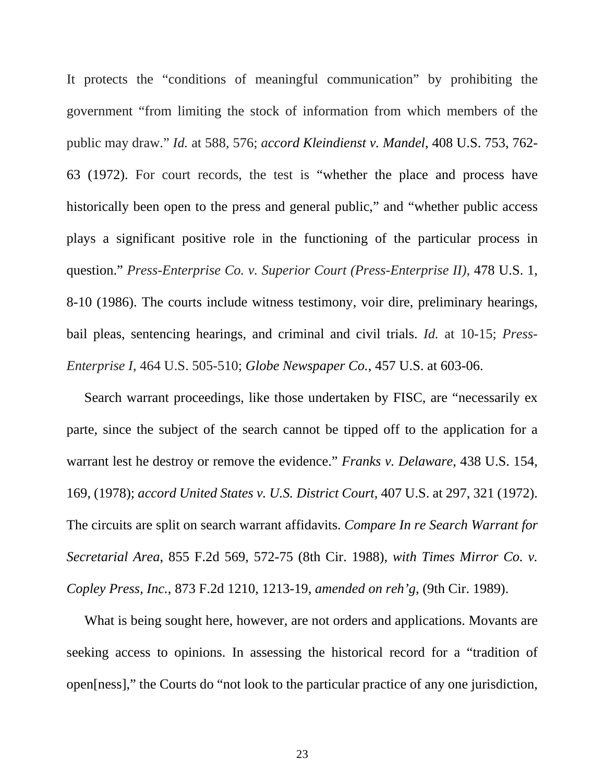It protects the "conditions of meaningful communication" by prohibiting the government "from limiting the stock of information from which members of the public may draw." *Id.* at 588, 576; *accord Kleindienst v. Mandel*, 408 U.S. 753, 762- 63 (1972). For court records, the test is "whether the place and process have historically been open to the press and general public," and "whether public access plays a significant positive role in the functioning of the particular process in question." *Press-Enterprise Co. v. Superior Court (Press-Enterprise II),* 478 U.S. 1, 8-10 (1986). The courts include witness testimony, voir dire, preliminary hearings, bail pleas, sentencing hearings, and criminal and civil trials. *Id.* at 10-15; *Press-Enterprise I*, 464 U.S. 505-510; *Globe Newspaper Co.*, 457 U.S. at 603-06.

Search warrant proceedings, like those undertaken by FISC, are "necessarily ex parte, since the subject of the search cannot be tipped off to the application for a warrant lest he destroy or remove the evidence." *Franks v. Delaware*, 438 U.S. 154, 169, (1978); *accord United States v. U.S. District Court*, 407 U.S. at 297, 321 (1972). The circuits are split on search warrant affidavits. *Compare In re Search Warrant for Secretarial Area*, 855 F.2d 569, 572-75 (8th Cir. 1988), *with Times Mirror Co. v. Copley Press, Inc.*, 873 F.2d 1210, 1213-19, *amended on reh'g*, (9th Cir. 1989).

What is being sought here, however, are not orders and applications. Movants are seeking access to opinions. In assessing the historical record for a "tradition of open[ness]," the Courts do "not look to the particular practice of any one jurisdiction,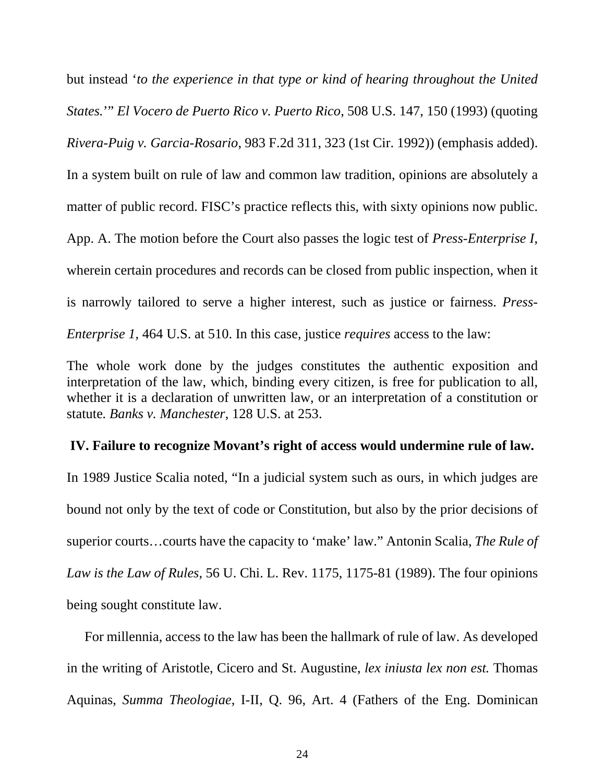but instead '*to the experience in that type or kind of hearing throughout the United States.*'" *El Vocero de Puerto Rico v. Puerto Rico*, 508 U.S. 147, 150 (1993) (quoting *Rivera-Puig v. Garcia-Rosario*, 983 F.2d 311, 323 (1st Cir. 1992)) (emphasis added). In a system built on rule of law and common law tradition, opinions are absolutely a matter of public record. FISC's practice reflects this, with sixty opinions now public. App. A. The motion before the Court also passes the logic test of *Press-Enterprise I*, wherein certain procedures and records can be closed from public inspection, when it is narrowly tailored to serve a higher interest, such as justice or fairness. *Press-Enterprise 1*, 464 U.S. at 510. In this case, justice *requires* access to the law:

The whole work done by the judges constitutes the authentic exposition and interpretation of the law, which, binding every citizen, is free for publication to all, whether it is a declaration of unwritten law, or an interpretation of a constitution or statute*. Banks v. Manchester*, 128 U.S. at 253.

#### **IV. Failure to recognize Movant's right of access would undermine rule of law.**

In 1989 Justice Scalia noted, "In a judicial system such as ours, in which judges are bound not only by the text of code or Constitution, but also by the prior decisions of superior courts…courts have the capacity to 'make' law." Antonin Scalia, *The Rule of Law is the Law of Rules*, 56 U. Chi. L. Rev. 1175, 1175-81 (1989). The four opinions being sought constitute law.

For millennia, access to the law has been the hallmark of rule of law. As developed in the writing of Aristotle, Cicero and St. Augustine, *lex iniusta lex non est.* Thomas Aquinas, *Summa Theologiae*, I-II, Q. 96, Art. 4 (Fathers of the Eng. Dominican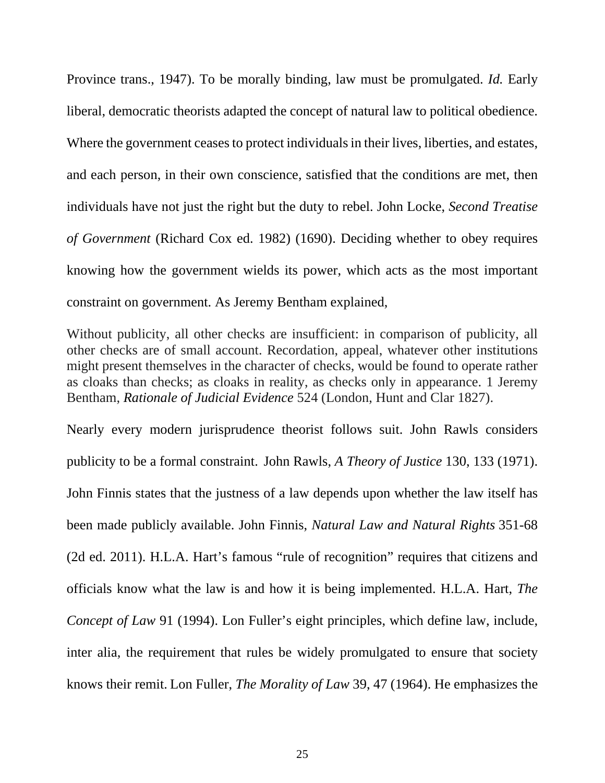Province trans., 1947). To be morally binding, law must be promulgated. *Id.* Early liberal, democratic theorists adapted the concept of natural law to political obedience. Where the government ceases to protect individuals in their lives, liberties, and estates, and each person, in their own conscience, satisfied that the conditions are met, then individuals have not just the right but the duty to rebel. John Locke, *Second Treatise of Government* (Richard Cox ed. 1982) (1690). Deciding whether to obey requires knowing how the government wields its power, which acts as the most important constraint on government. As Jeremy Bentham explained,

Without publicity, all other checks are insufficient: in comparison of publicity, all other checks are of small account. Recordation, appeal, whatever other institutions might present themselves in the character of checks, would be found to operate rather as cloaks than checks; as cloaks in reality, as checks only in appearance. 1 Jeremy Bentham, *Rationale of Judicial Evidence* 524 (London, Hunt and Clar 1827).

Nearly every modern jurisprudence theorist follows suit. John Rawls considers publicity to be a formal constraint. John Rawls, *A Theory of Justice* 130, 133 (1971). John Finnis states that the justness of a law depends upon whether the law itself has been made publicly available. John Finnis, *Natural Law and Natural Rights* 351-68 (2d ed. 2011). H.L.A. Hart's famous "rule of recognition" requires that citizens and officials know what the law is and how it is being implemented. H.L.A. Hart, *The Concept of Law* 91 (1994). Lon Fuller's eight principles, which define law, include, inter alia, the requirement that rules be widely promulgated to ensure that society knows their remit. Lon Fuller, *The Morality of Law* 39, 47 (1964). He emphasizes the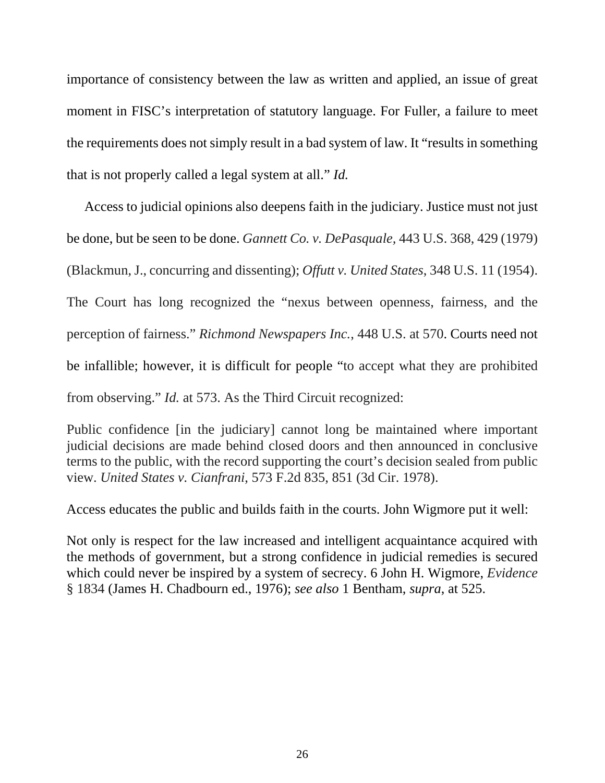importance of consistency between the law as written and applied, an issue of great moment in FISC's interpretation of statutory language. For Fuller, a failure to meet the requirements does not simply result in a bad system of law. It "results in something that is not properly called a legal system at all." *Id.*

Access to judicial opinions also deepens faith in the judiciary. Justice must not just be done, but be seen to be done. *Gannett Co. v. DePasquale,* 443 U.S. 368, 429 (1979) (Blackmun, J., concurring and dissenting); *Offutt v. United States*, 348 U.S. 11 (1954). The Court has long recognized the "nexus between openness, fairness, and the perception of fairness." *Richmond Newspapers Inc.*, 448 U.S. at 570. Courts need not be infallible; however, it is difficult for people "to accept what they are prohibited from observing." *Id.* at 573. As the Third Circuit recognized:

Public confidence [in the judiciary] cannot long be maintained where important judicial decisions are made behind closed doors and then announced in conclusive terms to the public, with the record supporting the court's decision sealed from public view. *United States v. Cianfrani*, 573 F.2d 835, 851 (3d Cir. 1978).

Access educates the public and builds faith in the courts. John Wigmore put it well:

Not only is respect for the law increased and intelligent acquaintance acquired with the methods of government, but a strong confidence in judicial remedies is secured which could never be inspired by a system of secrecy. 6 John H. Wigmore, *Evidence* § 1834 (James H. Chadbourn ed., 1976); *see also* 1 Bentham, *supra*, at 525.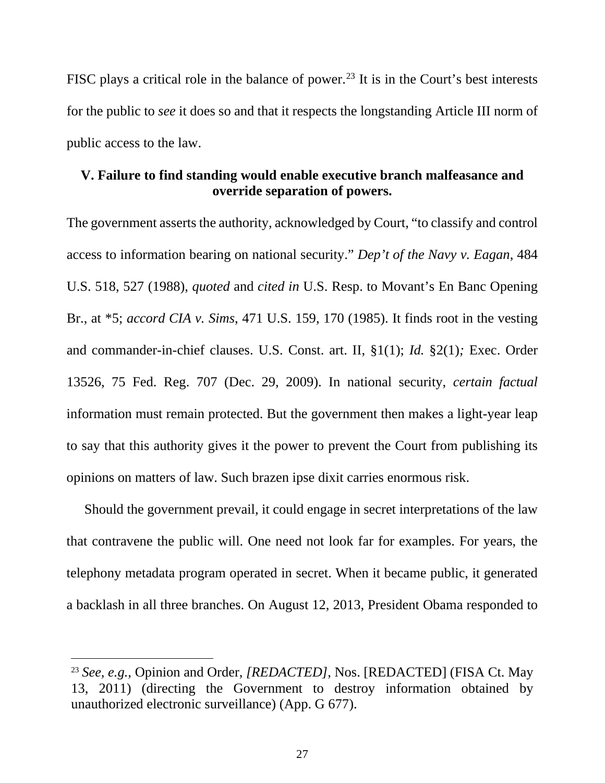FISC plays a critical role in the balance of power.<sup>[23](#page-40-0)</sup> It is in the Court's best interests for the public to *see* it does so and that it respects the longstanding Article III norm of public access to the law.

# **V. Failure to find standing would enable executive branch malfeasance and override separation of powers.**

The government asserts the authority, acknowledged by Court, "to classify and control access to information bearing on national security." *Dep't of the Navy v. Eagan*, 484 U.S. 518, 527 (1988), *quoted* and *cited in* U.S. Resp. to Movant's En Banc Opening Br., at \*5; *accord CIA v. Sims*, 471 U.S. 159, 170 (1985). It finds root in the vesting and commander-in-chief clauses. U.S. Const. art. II, §1(1); *Id.* §2(1)*;* Exec. Order 13526, 75 Fed. Reg. 707 (Dec. 29, 2009). In national security, *certain factual* information must remain protected. But the government then makes a light-year leap to say that this authority gives it the power to prevent the Court from publishing its opinions on matters of law. Such brazen ipse dixit carries enormous risk.

Should the government prevail, it could engage in secret interpretations of the law that contravene the public will. One need not look far for examples. For years, the telephony metadata program operated in secret. When it became public, it generated a backlash in all three branches. On August 12, 2013, President Obama responded to

<span id="page-40-0"></span> <sup>23</sup> *See, e.g.,* Opinion and Order, *[REDACTED]*, Nos. [REDACTED] (FISA Ct. May 13, 2011) (directing the Government to destroy information obtained by unauthorized electronic surveillance) (App. G 677).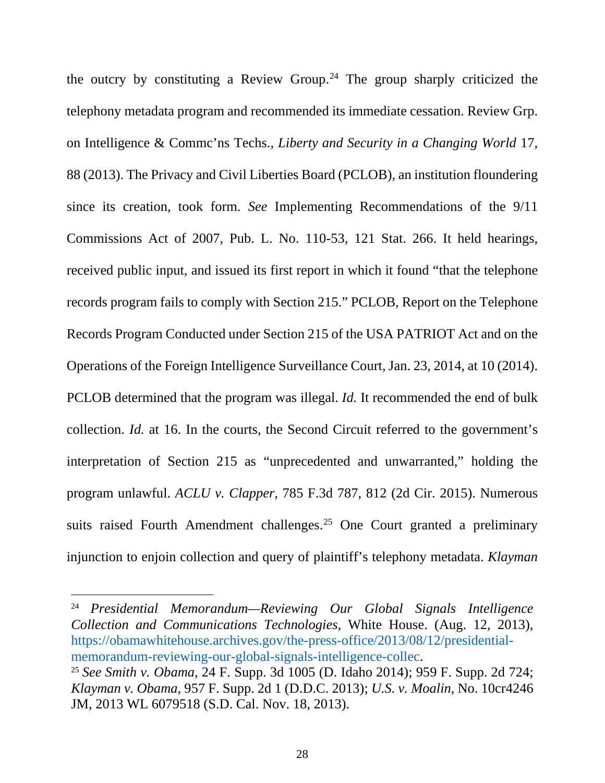the outcry by constituting a Review Group.<sup>[24](#page-41-0)</sup> The group sharply criticized the telephony metadata program and recommended its immediate cessation. Review Grp. on Intelligence & Commc'ns Techs., *Liberty and Security in a Changing World* 17, 88 (2013). The Privacy and Civil Liberties Board (PCLOB), an institution floundering since its creation, took form. *See* Implementing Recommendations of the 9/11 Commissions Act of 2007, Pub. L. No. 110-53, 121 Stat. 266. It held hearings, received public input, and issued its first report in which it found "that the telephone records program fails to comply with Section 215." PCLOB, Report on the Telephone Records Program Conducted under Section 215 of the USA PATRIOT Act and on the Operations of the Foreign Intelligence Surveillance Court, Jan. 23, 2014, at 10 (2014). PCLOB determined that the program was illegal. *Id.* It recommended the end of bulk collection. *Id.* at 16. In the courts, the Second Circuit referred to the government's interpretation of Section 215 as "unprecedented and unwarranted," holding the program unlawful. *ACLU v. Clapper,* 785 F.3d 787, 812 (2d Cir. 2015). Numerous suits raised Fourth Amendment challenges.<sup>[25](#page-41-1)</sup> One Court granted a preliminary injunction to enjoin collection and query of plaintiff's telephony metadata. *Klayman* 

<span id="page-41-0"></span> 24 *Presidential Memorandum—Reviewing Our Global Signals Intelligence Collection and Communications Technologies*, White House. (Aug. 12, 2013), [https://obamawhitehouse.archives.gov/the-press-office/2013/08/12/presidential](https://obamawhitehouse.archives.gov/the-press-office/2013/08/12/presidential-memorandum-reviewing-our-global-signals-intelligence-collec)[memorandum-reviewing-our-global-signals-intelligence-collec.](https://obamawhitehouse.archives.gov/the-press-office/2013/08/12/presidential-memorandum-reviewing-our-global-signals-intelligence-collec)

<span id="page-41-1"></span><sup>25</sup> *See Smith v. Obama*, 24 F. Supp. 3d 1005 (D. Idaho 2014); 959 F. Supp. 2d 724; *Klayman v. Obama*, 957 F. Supp. 2d 1 (D.D.C. 2013); *U.S. v. Moalin*, No. 10cr4246 JM, 2013 WL 6079518 (S.D. Cal. Nov. 18, 2013).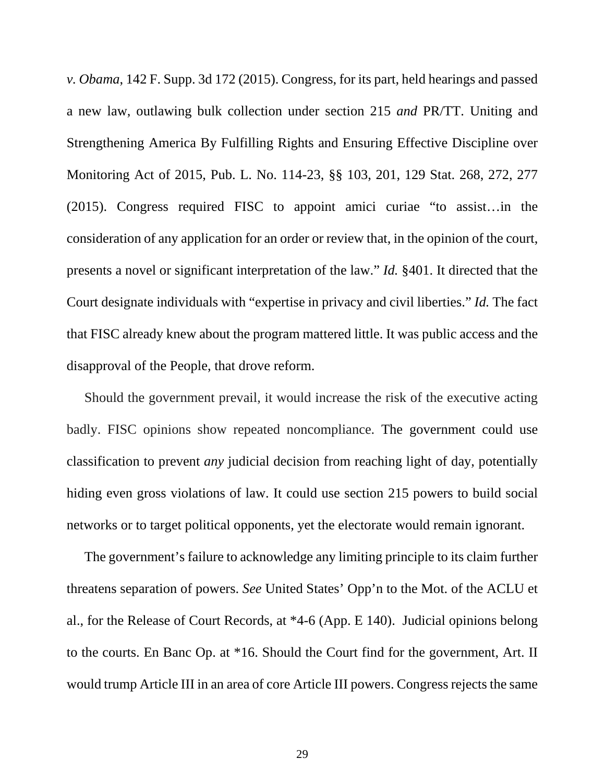*v. Obama*, 142 F. Supp. 3d 172 (2015). Congress, for its part, held hearings and passed a new law, outlawing bulk collection under section 215 *and* PR/TT. Uniting and Strengthening America By Fulfilling Rights and Ensuring Effective Discipline over Monitoring Act of 2015, Pub. L. No. 114-23, §§ 103, 201, 129 Stat. 268, 272, 277 (2015). Congress required FISC to appoint amici curiae "to assist…in the consideration of any application for an order or review that, in the opinion of the court, presents a novel or significant interpretation of the law." *Id.* §401. It directed that the Court designate individuals with "expertise in privacy and civil liberties." *Id.* The fact that FISC already knew about the program mattered little. It was public access and the disapproval of the People, that drove reform.

Should the government prevail, it would increase the risk of the executive acting badly. FISC opinions show repeated noncompliance. The government could use classification to prevent *any* judicial decision from reaching light of day, potentially hiding even gross violations of law. It could use section 215 powers to build social networks or to target political opponents, yet the electorate would remain ignorant.

The government's failure to acknowledge any limiting principle to its claim further threatens separation of powers. *See* United States' Opp'n to the Mot. of the ACLU et al., for the Release of Court Records, at \*4-6 (App. E 140). Judicial opinions belong to the courts. En Banc Op. at \*16. Should the Court find for the government, Art. II would trump Article III in an area of core Article III powers. Congress rejects the same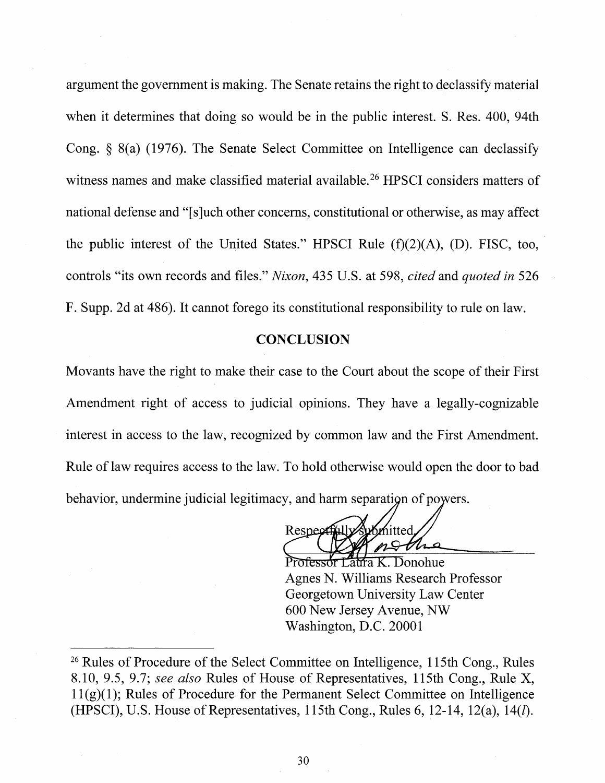argument the government is making. The Senate retains the right to declassify material when it determines that doing so would be in the public interest. S. Res. 400, 94th Cong.  $\S$  8(a) (1976). The Senate Select Committee on Intelligence can declassify witness names and make classified material available.<sup>26</sup> HPSCI considers matters of national defense and "[s] uch other concerns, constitutional or otherwise, as may affect the public interest of the United States." HPSCI Rule  $(f)(2)(A)$ ,  $(D)$ . FISC, too, controls "its own records and files." Nixon, 435 U.S. at 598, cited and quoted in 526 F. Supp. 2d at 486). It cannot forego its constitutional responsibility to rule on law.

#### **CONCLUSION**

Movants have the right to make their case to the Court about the scope of their First Amendment right of access to judicial opinions. They have a legally-cognizable interest in access to the law, recognized by common law and the First Amendment. Rule of law requires access to the law. To hold otherwise would open the door to bad behavior, undermine judicial legitimacy, and harm separation of powers.

**Respect** mitted

sor Laura K. Donohue Agnes N. Williams Research Professor Georgetown University Law Center 600 New Jersey Avenue, NW Washington, D.C. 20001

<sup>&</sup>lt;sup>26</sup> Rules of Procedure of the Select Committee on Intelligence, 115th Cong., Rules 8.10, 9.5, 9.7; see also Rules of House of Representatives, 115th Cong., Rule X,  $11(g)(1)$ ; Rules of Procedure for the Permanent Select Committee on Intelligence (HPSCI), U.S. House of Representatives, 115th Cong., Rules 6, 12-14, 12(a), 14(*l*).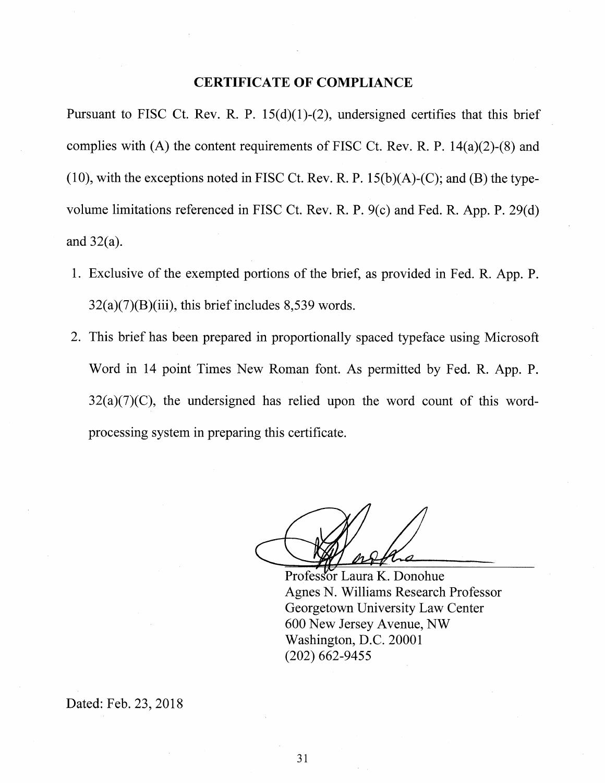#### **CERTIFICATE OF COMPLIANCE**

Pursuant to FISC Ct. Rev. R. P.  $15(d)(1)-(2)$ , undersigned certifies that this brief complies with (A) the content requirements of FISC Ct. Rev. R. P.  $14(a)(2)-(8)$  and (10), with the exceptions noted in FISC Ct. Rev. R. P.  $15(b)(A)-(C)$ ; and (B) the typevolume limitations referenced in FISC Ct. Rev. R. P. 9(c) and Fed. R. App. P. 29(d) and  $32(a)$ .

- 1. Exclusive of the exempted portions of the brief, as provided in Fed. R. App. P.  $32(a)(7)(B)(iii)$ , this brief includes 8,539 words.
- 2. This brief has been prepared in proportionally spaced typeface using Microsoft Word in 14 point Times New Roman font. As permitted by Fed. R. App. P.  $32(a)(7)(C)$ , the undersigned has relied upon the word count of this wordprocessing system in preparing this certificate.

Professor Laura K. Donohue Agnes N. Williams Research Professor Georgetown University Law Center 600 New Jersey Avenue, NW Washington, D.C. 20001  $(202)$  662-9455

Dated: Feb. 23, 2018